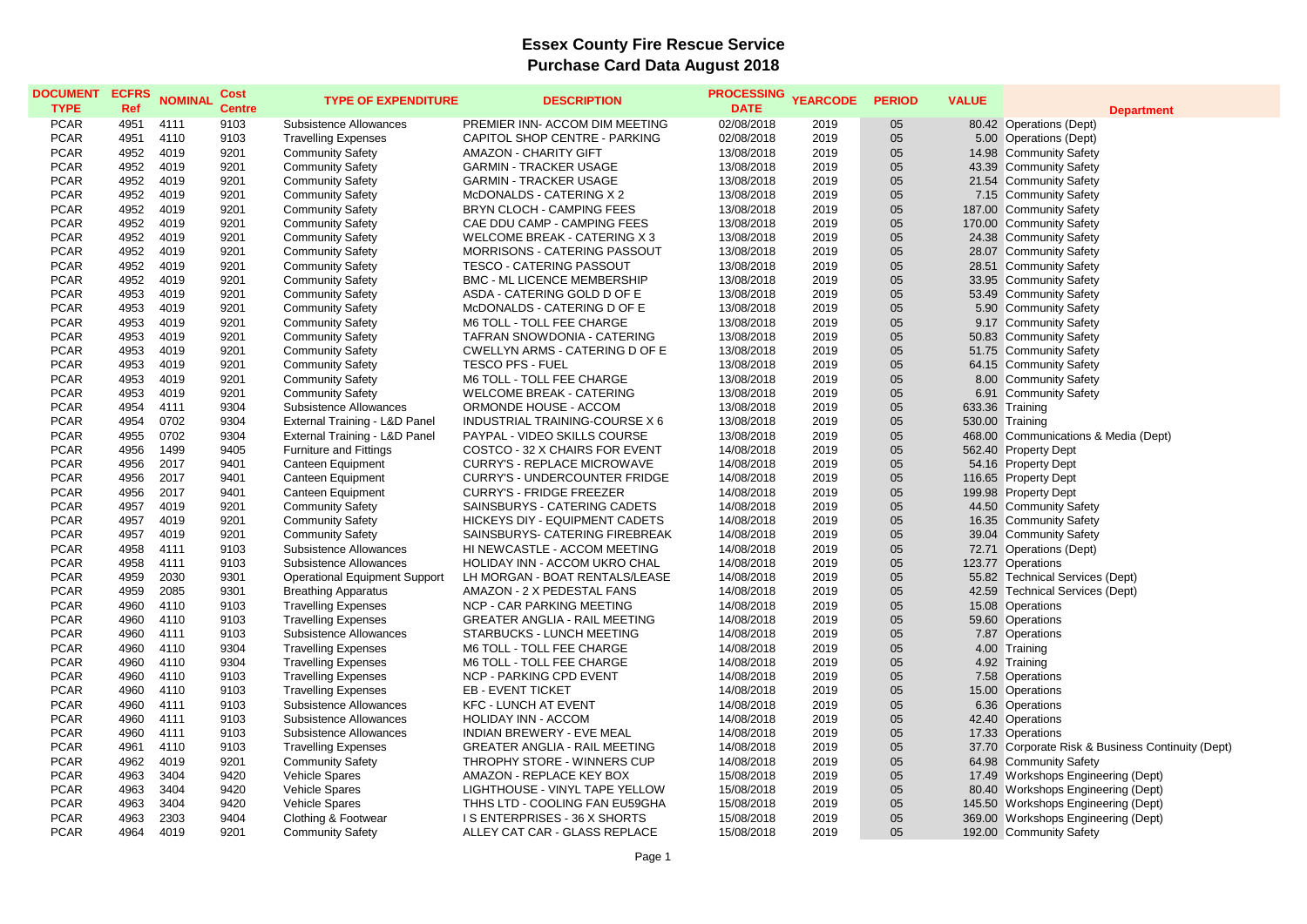| <b>DOCUMENT</b> | <b>ECFRS</b> | <b>NOMINAL</b> | Cost          | <b>TYPE OF EXPENDITURE</b>           | <b>DESCRIPTION</b>                    | <b>PROCESSING</b> | <b>YEARCODE</b> | <b>PERIOD</b> | <b>VALUE</b> |                                                   |
|-----------------|--------------|----------------|---------------|--------------------------------------|---------------------------------------|-------------------|-----------------|---------------|--------------|---------------------------------------------------|
| <b>TYPE</b>     | Ref          |                | <b>Centre</b> |                                      |                                       | <b>DATE</b>       |                 |               |              | <b>Department</b>                                 |
| <b>PCAR</b>     | 4951         | 4111           | 9103          | Subsistence Allowances               | PREMIER INN- ACCOM DIM MEETING        | 02/08/2018        | 2019            | 05            |              | 80.42 Operations (Dept)                           |
| <b>PCAR</b>     | 4951         | 4110           | 9103          | <b>Travelling Expenses</b>           | CAPITOL SHOP CENTRE - PARKING         | 02/08/2018        | 2019            | 05            |              | 5.00 Operations (Dept)                            |
| <b>PCAR</b>     | 4952         | 4019           | 9201          | <b>Community Safety</b>              | <b>AMAZON - CHARITY GIFT</b>          | 13/08/2018        | 2019            | 05            |              | 14.98 Community Safety                            |
| <b>PCAR</b>     | 4952         | 4019           | 9201          | <b>Community Safety</b>              | <b>GARMIN - TRACKER USAGE</b>         | 13/08/2018        | 2019            | 05            |              | 43.39 Community Safety                            |
| <b>PCAR</b>     | 4952         | 4019           | 9201          | <b>Community Safety</b>              | <b>GARMIN - TRACKER USAGE</b>         | 13/08/2018        | 2019            | 05            |              | 21.54 Community Safety                            |
| <b>PCAR</b>     | 4952         | 4019           | 9201          | <b>Community Safety</b>              | McDONALDS - CATERING X 2              | 13/08/2018        | 2019            | 05            |              | 7.15 Community Safety                             |
| <b>PCAR</b>     | 4952         | 4019           | 9201          | <b>Community Safety</b>              | BRYN CLOCH - CAMPING FEES             | 13/08/2018        | 2019            | 05            |              | 187.00 Community Safety                           |
| <b>PCAR</b>     | 4952         | 4019           | 9201          | <b>Community Safety</b>              | CAE DDU CAMP - CAMPING FEES           | 13/08/2018        | 2019            | 05            |              | 170.00 Community Safety                           |
| <b>PCAR</b>     | 4952         | 4019           | 9201          | <b>Community Safety</b>              | <b>WELCOME BREAK - CATERING X 3</b>   | 13/08/2018        | 2019            | 05            |              | 24.38 Community Safety                            |
| <b>PCAR</b>     | 4952         | 4019           | 9201          | <b>Community Safety</b>              | MORRISONS - CATERING PASSOUT          | 13/08/2018        | 2019            | 05            |              | 28.07 Community Safety                            |
| <b>PCAR</b>     | 4952         | 4019           | 9201          | <b>Community Safety</b>              | <b>TESCO - CATERING PASSOUT</b>       | 13/08/2018        | 2019            | 05            |              | 28.51 Community Safety                            |
| <b>PCAR</b>     | 4952         | 4019           | 9201          | <b>Community Safety</b>              | BMC - ML LICENCE MEMBERSHIP           | 13/08/2018        | 2019            | 05            |              | 33.95 Community Safety                            |
| <b>PCAR</b>     | 4953         | 4019           | 9201          | <b>Community Safety</b>              | ASDA - CATERING GOLD D OF E           | 13/08/2018        | 2019            | 05            |              | 53.49 Community Safety                            |
| <b>PCAR</b>     | 4953         | 4019           | 9201          | <b>Community Safety</b>              | McDONALDS - CATERING D OF E           | 13/08/2018        | 2019            | 05            |              | 5.90 Community Safety                             |
| <b>PCAR</b>     | 4953         | 4019           | 9201          | <b>Community Safety</b>              | M6 TOLL - TOLL FEE CHARGE             | 13/08/2018        | 2019            | 05            |              | 9.17 Community Safety                             |
| <b>PCAR</b>     | 4953         | 4019           | 9201          | <b>Community Safety</b>              | TAFRAN SNOWDONIA - CATERING           | 13/08/2018        | 2019            | 05            |              | 50.83 Community Safety                            |
| <b>PCAR</b>     | 4953         | 4019           | 9201          | <b>Community Safety</b>              | <b>CWELLYN ARMS - CATERING D OF E</b> | 13/08/2018        | 2019            | 05            |              | 51.75 Community Safety                            |
| <b>PCAR</b>     | 4953         | 4019           | 9201          | <b>Community Safety</b>              | <b>TESCO PFS - FUEL</b>               | 13/08/2018        | 2019            | 05            |              | 64.15 Community Safety                            |
| <b>PCAR</b>     | 4953         | 4019           | 9201          | <b>Community Safety</b>              | M6 TOLL - TOLL FEE CHARGE             | 13/08/2018        | 2019            | 05            |              | 8.00 Community Safety                             |
| <b>PCAR</b>     | 4953         | 4019           | 9201          | <b>Community Safety</b>              | <b>WELCOME BREAK - CATERING</b>       | 13/08/2018        | 2019            | 05            |              | 6.91 Community Safety                             |
| <b>PCAR</b>     | 4954         | 4111           | 9304          | Subsistence Allowances               | ORMONDE HOUSE - ACCOM                 | 13/08/2018        | 2019            | 05            |              | 633.36 Training                                   |
| <b>PCAR</b>     | 4954         | 0702           | 9304          | External Training - L&D Panel        | INDUSTRIAL TRAINING-COURSE X 6        | 13/08/2018        | 2019            | 05            |              | 530.00 Training                                   |
| <b>PCAR</b>     | 4955         | 0702           | 9304          | External Training - L&D Panel        | PAYPAL - VIDEO SKILLS COURSE          | 13/08/2018        | 2019            | 05            |              | 468.00 Communications & Media (Dept)              |
| <b>PCAR</b>     | 4956         | 1499           | 9405          | <b>Furniture and Fittings</b>        | COSTCO - 32 X CHAIRS FOR EVENT        | 14/08/2018        | 2019            | 05            |              | 562.40 Property Dept                              |
| <b>PCAR</b>     | 4956         | 2017           | 9401          | Canteen Equipment                    | <b>CURRY'S - REPLACE MICROWAVE</b>    | 14/08/2018        | 2019            | 05            |              | 54.16 Property Dept                               |
| <b>PCAR</b>     | 4956         | 2017           | 9401          | Canteen Equipment                    | <b>CURRY'S - UNDERCOUNTER FRIDGE</b>  | 14/08/2018        | 2019            | 05            |              | 116.65 Property Dept                              |
| <b>PCAR</b>     | 4956         | 2017           | 9401          | Canteen Equipment                    | <b>CURRY'S - FRIDGE FREEZER</b>       | 14/08/2018        | 2019            | 05            |              | 199.98 Property Dept                              |
| <b>PCAR</b>     | 4957         | 4019           | 9201          | <b>Community Safety</b>              | SAINSBURYS - CATERING CADETS          | 14/08/2018        | 2019            | 05            |              | 44.50 Community Safety                            |
| <b>PCAR</b>     | 4957         | 4019           | 9201          | <b>Community Safety</b>              | HICKEYS DIY - EQUIPMENT CADETS        | 14/08/2018        | 2019            | 05            |              | 16.35 Community Safety                            |
| <b>PCAR</b>     | 4957         | 4019           | 9201          | <b>Community Safety</b>              | SAINSBURYS- CATERING FIREBREAK        | 14/08/2018        | 2019            | 05            |              | 39.04 Community Safety                            |
| <b>PCAR</b>     | 4958         | 4111           | 9103          | Subsistence Allowances               | HI NEWCASTLE - ACCOM MEETING          | 14/08/2018        | 2019            | 05            |              | 72.71 Operations (Dept)                           |
| <b>PCAR</b>     | 4958         | 4111           | 9103          | Subsistence Allowances               | HOLIDAY INN - ACCOM UKRO CHAL         | 14/08/2018        | 2019            | 05            |              | 123.77 Operations                                 |
| <b>PCAR</b>     | 4959         | 2030           | 9301          | <b>Operational Equipment Support</b> | LH MORGAN - BOAT RENTALS/LEASE        | 14/08/2018        | 2019            | 05            |              | 55.82 Technical Services (Dept)                   |
| <b>PCAR</b>     | 4959         | 2085           | 9301          | <b>Breathing Apparatus</b>           | AMAZON - 2 X PEDESTAL FANS            | 14/08/2018        | 2019            | 05            |              | 42.59 Technical Services (Dept)                   |
| <b>PCAR</b>     | 4960         | 4110           | 9103          | <b>Travelling Expenses</b>           | NCP - CAR PARKING MEETING             | 14/08/2018        | 2019            | 05            |              | 15.08 Operations                                  |
| <b>PCAR</b>     | 4960         | 4110           | 9103          | <b>Travelling Expenses</b>           | <b>GREATER ANGLIA - RAIL MEETING</b>  | 14/08/2018        | 2019            | 05            |              | 59.60 Operations                                  |
| <b>PCAR</b>     | 4960         | 4111           | 9103          | Subsistence Allowances               | STARBUCKS - LUNCH MEETING             | 14/08/2018        | 2019            | 05            |              | 7.87 Operations                                   |
| <b>PCAR</b>     | 4960         | 4110           | 9304          | <b>Travelling Expenses</b>           | M6 TOLL - TOLL FEE CHARGE             | 14/08/2018        | 2019            | 05            |              | 4.00 Training                                     |
| <b>PCAR</b>     | 4960         | 4110           | 9304          | <b>Travelling Expenses</b>           | M6 TOLL - TOLL FEE CHARGE             | 14/08/2018        | 2019            | 05            |              | 4.92 Training                                     |
| <b>PCAR</b>     | 4960         | 4110           | 9103          | <b>Travelling Expenses</b>           | <b>NCP - PARKING CPD EVENT</b>        | 14/08/2018        | 2019            | 05            |              | 7.58 Operations                                   |
| <b>PCAR</b>     | 4960         | 4110           | 9103          | <b>Travelling Expenses</b>           | EB - EVENT TICKET                     | 14/08/2018        | 2019            | 05            |              | 15.00 Operations                                  |
| <b>PCAR</b>     | 4960         | 4111           | 9103          | <b>Subsistence Allowances</b>        | <b>KFC - LUNCH AT EVENT</b>           | 14/08/2018        | 2019            | 05            |              | 6.36 Operations                                   |
| <b>PCAR</b>     | 4960         | 4111           | 9103          | Subsistence Allowances               | <b>HOLIDAY INN - ACCOM</b>            | 14/08/2018        | 2019            | 05            |              | 42.40 Operations                                  |
| <b>PCAR</b>     | 4960         | 4111           | 9103          | Subsistence Allowances               | <b>INDIAN BREWERY - EVE MEAL</b>      | 14/08/2018        | 2019            | 05            |              | 17.33 Operations                                  |
| <b>PCAR</b>     | 4961         | 4110           | 9103          | <b>Travelling Expenses</b>           | <b>GREATER ANGLIA - RAIL MEETING</b>  | 14/08/2018        | 2019            | 05            |              | 37.70 Corporate Risk & Business Continuity (Dept) |
| <b>PCAR</b>     | 4962         | 4019           | 9201          | <b>Community Safety</b>              | THROPHY STORE - WINNERS CUP           | 14/08/2018        | 2019            | 05            |              | 64.98 Community Safety                            |
|                 |              |                |               |                                      |                                       |                   |                 | 05            |              |                                                   |
| <b>PCAR</b>     | 4963         | 3404           | 9420          | Vehicle Spares                       | AMAZON - REPLACE KEY BOX              | 15/08/2018        | 2019            |               |              | 17.49 Workshops Engineering (Dept)                |
| <b>PCAR</b>     | 4963         | 3404           | 9420          | <b>Vehicle Spares</b>                | LIGHTHOUSE - VINYL TAPE YELLOW        | 15/08/2018        | 2019            | 05            |              | 80.40 Workshops Engineering (Dept)                |
| <b>PCAR</b>     | 4963         | 3404           | 9420          | <b>Vehicle Spares</b>                | THHS LTD - COOLING FAN EU59GHA        | 15/08/2018        | 2019            | 05            |              | 145.50 Workshops Engineering (Dept)               |
| <b>PCAR</b>     | 4963         | 2303           | 9404          | Clothing & Footwear                  | <b>IS ENTERPRISES - 36 X SHORTS</b>   | 15/08/2018        | 2019            | 05            |              | 369.00 Workshops Engineering (Dept)               |
| <b>PCAR</b>     | 4964         | 4019           | 9201          | <b>Community Safety</b>              | ALLEY CAT CAR - GLASS REPLACE         | 15/08/2018        | 2019            | 05            |              | 192.00 Community Safety                           |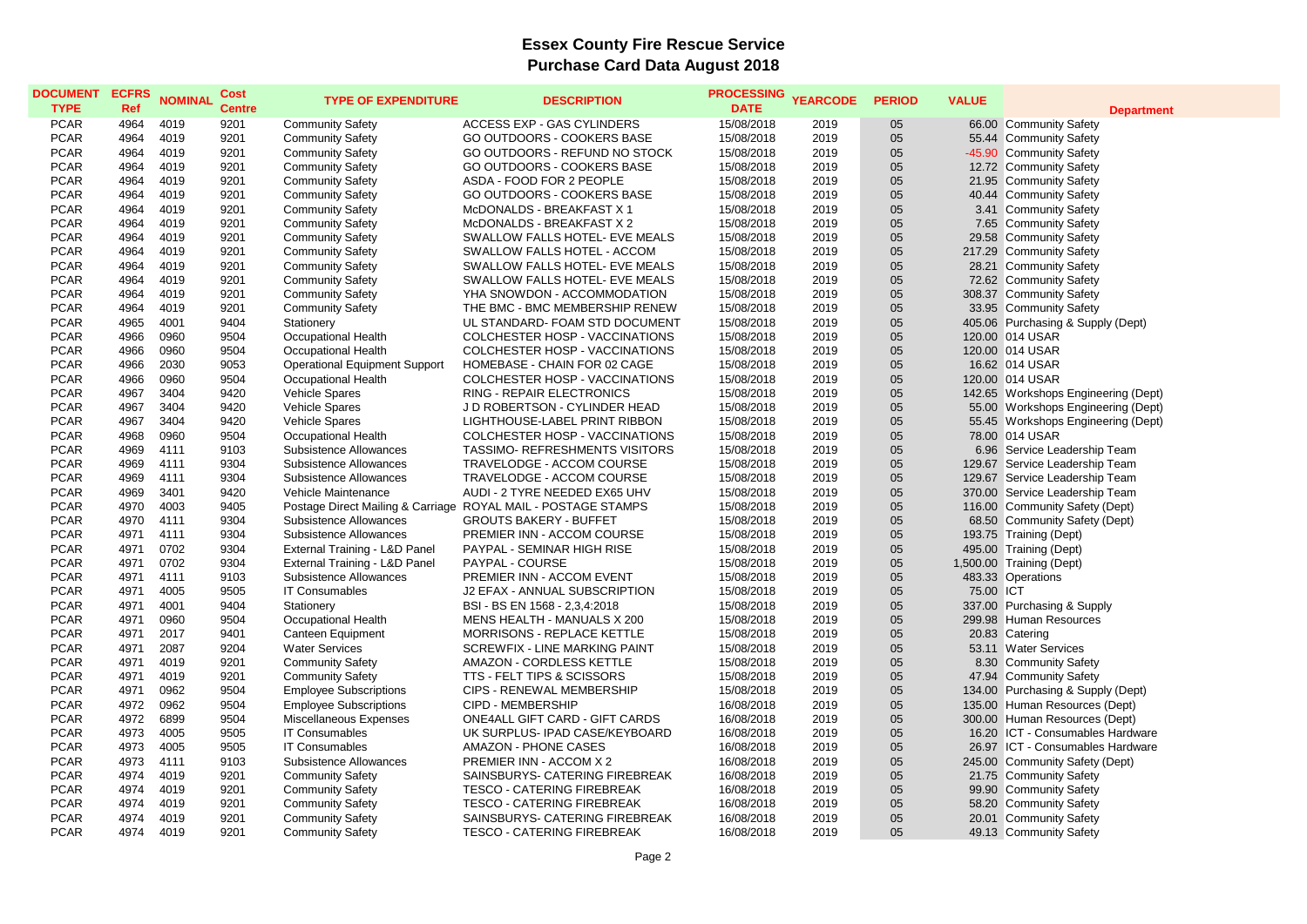| <b>DOCUMENT</b><br><b>TYPE</b> | <b>ECFRS</b><br>Ref | <b>NOMINAL</b> | Cost<br><b>Centre</b> | <b>TYPE OF EXPENDITURE</b>           | <b>DESCRIPTION</b>                                            | <b>PROCESSING</b><br><b>DATE</b> | <b>YEARCODE</b> | <b>PERIOD</b> | <b>VALUE</b> | <b>Department</b>                   |
|--------------------------------|---------------------|----------------|-----------------------|--------------------------------------|---------------------------------------------------------------|----------------------------------|-----------------|---------------|--------------|-------------------------------------|
| <b>PCAR</b>                    | 4964                | 4019           | 9201                  | <b>Community Safety</b>              | <b>ACCESS EXP - GAS CYLINDERS</b>                             | 15/08/2018                       | 2019            | 05            |              | 66.00 Community Safety              |
| <b>PCAR</b>                    | 4964                | 4019           | 9201                  | <b>Community Safety</b>              | GO OUTDOORS - COOKERS BASE                                    | 15/08/2018                       | 2019            | 05            |              | 55.44 Community Safety              |
| <b>PCAR</b>                    | 4964                | 4019           | 9201                  | <b>Community Safety</b>              | GO OUTDOORS - REFUND NO STOCK                                 | 15/08/2018                       | 2019            | 05            |              | -45.90 Community Safety             |
| <b>PCAR</b>                    | 4964                | 4019           | 9201                  | <b>Community Safety</b>              | GO OUTDOORS - COOKERS BASE                                    | 15/08/2018                       | 2019            | 05            |              | 12.72 Community Safety              |
| <b>PCAR</b>                    | 4964                | 4019           | 9201                  | <b>Community Safety</b>              | ASDA - FOOD FOR 2 PEOPLE                                      | 15/08/2018                       | 2019            | 05            |              | 21.95 Community Safety              |
| <b>PCAR</b>                    | 4964                | 4019           | 9201                  | <b>Community Safety</b>              | GO OUTDOORS - COOKERS BASE                                    | 15/08/2018                       | 2019            | 05            |              | 40.44 Community Safety              |
| <b>PCAR</b>                    | 4964                | 4019           | 9201                  | <b>Community Safety</b>              | McDONALDS - BREAKFAST X 1                                     | 15/08/2018                       | 2019            | 05            |              | 3.41 Community Safety               |
| <b>PCAR</b>                    | 4964                | 4019           | 9201                  | <b>Community Safety</b>              | McDONALDS - BREAKFAST X 2                                     | 15/08/2018                       | 2019            | 05            |              | 7.65 Community Safety               |
| <b>PCAR</b>                    | 4964                | 4019           | 9201                  | <b>Community Safety</b>              | SWALLOW FALLS HOTEL- EVE MEALS                                | 15/08/2018                       | 2019            | 05            |              | 29.58 Community Safety              |
| <b>PCAR</b>                    | 4964                | 4019           | 9201                  | <b>Community Safety</b>              | SWALLOW FALLS HOTEL - ACCOM                                   | 15/08/2018                       | 2019            | 05            |              | 217.29 Community Safety             |
| <b>PCAR</b>                    | 4964                | 4019           | 9201                  | <b>Community Safety</b>              | SWALLOW FALLS HOTEL- EVE MEALS                                | 15/08/2018                       | 2019            | 05            |              | 28.21 Community Safety              |
| <b>PCAR</b>                    | 4964                | 4019           | 9201                  | <b>Community Safety</b>              | SWALLOW FALLS HOTEL- EVE MEALS                                | 15/08/2018                       | 2019            | 05            |              | 72.62 Community Safety              |
| <b>PCAR</b>                    | 4964                | 4019           | 9201                  | <b>Community Safety</b>              | YHA SNOWDON - ACCOMMODATION                                   | 15/08/2018                       | 2019            | 05            |              | 308.37 Community Safety             |
| <b>PCAR</b>                    | 4964                | 4019           | 9201                  | <b>Community Safety</b>              | THE BMC - BMC MEMBERSHIP RENEW                                | 15/08/2018                       | 2019            | 05            |              | 33.95 Community Safety              |
| <b>PCAR</b>                    | 4965                | 4001           | 9404                  | Stationery                           | UL STANDARD- FOAM STD DOCUMENT                                | 15/08/2018                       | 2019            | 05            |              | 405.06 Purchasing & Supply (Dept)   |
| <b>PCAR</b>                    | 4966                | 0960           | 9504                  | <b>Occupational Health</b>           | COLCHESTER HOSP - VACCINATIONS                                | 15/08/2018                       | 2019            | 05            |              | 120.00 014 USAR                     |
| <b>PCAR</b>                    | 4966                | 0960           | 9504                  | <b>Occupational Health</b>           | COLCHESTER HOSP - VACCINATIONS                                | 15/08/2018                       | 2019            | 05            |              | 120.00 014 USAR                     |
| <b>PCAR</b>                    | 4966                | 2030           | 9053                  | <b>Operational Equipment Support</b> | HOMEBASE - CHAIN FOR 02 CAGE                                  | 15/08/2018                       | 2019            | 05            |              | 16.62 014 USAR                      |
| <b>PCAR</b>                    | 4966                | 0960           | 9504                  | Occupational Health                  | COLCHESTER HOSP - VACCINATIONS                                | 15/08/2018                       | 2019            | 05            |              | 120.00 014 USAR                     |
| <b>PCAR</b>                    | 4967                | 3404           | 9420                  | <b>Vehicle Spares</b>                | RING - REPAIR ELECTRONICS                                     | 15/08/2018                       | 2019            | 05            |              | 142.65 Workshops Engineering (Dept) |
| <b>PCAR</b>                    | 4967                | 3404           | 9420                  | <b>Vehicle Spares</b>                | J D ROBERTSON - CYLINDER HEAD                                 | 15/08/2018                       | 2019            | 05            |              | 55.00 Workshops Engineering (Dept)  |
| <b>PCAR</b>                    | 4967                | 3404           | 9420                  | <b>Vehicle Spares</b>                | LIGHTHOUSE-LABEL PRINT RIBBON                                 | 15/08/2018                       | 2019            | 05            |              | 55.45 Workshops Engineering (Dept)  |
| <b>PCAR</b>                    | 4968                | 0960           | 9504                  | <b>Occupational Health</b>           | COLCHESTER HOSP - VACCINATIONS                                | 15/08/2018                       | 2019            | 05            |              | 78.00 014 USAR                      |
| <b>PCAR</b>                    | 4969                | 4111           | 9103                  | Subsistence Allowances               | <b>TASSIMO- REFRESHMENTS VISITORS</b>                         | 15/08/2018                       | 2019            | 05            |              | 6.96 Service Leadership Team        |
| <b>PCAR</b>                    | 4969                | 4111           | 9304                  | Subsistence Allowances               | TRAVELODGE - ACCOM COURSE                                     | 15/08/2018                       | 2019            | 05            |              | 129.67 Service Leadership Team      |
| <b>PCAR</b>                    | 4969                | 4111           | 9304                  | Subsistence Allowances               | TRAVELODGE - ACCOM COURSE                                     | 15/08/2018                       | 2019            | 05            |              | 129.67 Service Leadership Team      |
| <b>PCAR</b>                    | 4969                | 3401           | 9420                  | Vehicle Maintenance                  | AUDI - 2 TYRE NEEDED EX65 UHV                                 | 15/08/2018                       | 2019            | 05            |              | 370.00 Service Leadership Team      |
| <b>PCAR</b>                    | 4970                | 4003           | 9405                  |                                      | Postage Direct Mailing & Carriage ROYAL MAIL - POSTAGE STAMPS | 15/08/2018                       | 2019            | 05            |              | 116.00 Community Safety (Dept)      |
| <b>PCAR</b>                    | 4970                | 4111           | 9304                  | Subsistence Allowances               | <b>GROUTS BAKERY - BUFFET</b>                                 | 15/08/2018                       | 2019            | 05            |              | 68.50 Community Safety (Dept)       |
| <b>PCAR</b>                    | 4971                | 4111           | 9304                  | Subsistence Allowances               | PREMIER INN - ACCOM COURSE                                    | 15/08/2018                       | 2019            | 05            |              | 193.75 Training (Dept)              |
| <b>PCAR</b>                    | 4971                | 0702           | 9304                  | External Training - L&D Panel        | PAYPAL - SEMINAR HIGH RISE                                    | 15/08/2018                       | 2019            | 05            |              | 495.00 Training (Dept)              |
| <b>PCAR</b>                    | 4971                | 0702           | 9304                  | External Training - L&D Panel        | PAYPAL - COURSE                                               | 15/08/2018                       | 2019            | 05            |              | 1,500.00 Training (Dept)            |
| <b>PCAR</b>                    | 4971                | 4111           | 9103                  | Subsistence Allowances               | PREMIER INN - ACCOM EVENT                                     | 15/08/2018                       | 2019            | 05            |              | 483.33 Operations                   |
| <b>PCAR</b>                    | 4971                | 4005           | 9505                  | <b>IT Consumables</b>                | J2 EFAX - ANNUAL SUBSCRIPTION                                 | 15/08/2018                       | 2019            | 05            | 75.00 ICT    |                                     |
| <b>PCAR</b>                    | 4971                | 4001           | 9404                  | Stationery                           | BSI - BS EN 1568 - 2,3,4:2018                                 | 15/08/2018                       | 2019            | 05            |              | 337.00 Purchasing & Supply          |
| <b>PCAR</b>                    | 4971                | 0960           | 9504                  | Occupational Health                  | MENS HEALTH - MANUALS X 200                                   | 15/08/2018                       | 2019            | 05            |              | 299.98 Human Resources              |
| <b>PCAR</b>                    | 4971                | 2017           | 9401                  | Canteen Equipment                    | <b>MORRISONS - REPLACE KETTLE</b>                             | 15/08/2018                       | 2019            | 05            |              | 20.83 Catering                      |
| <b>PCAR</b>                    | 4971                | 2087           | 9204                  | <b>Water Services</b>                | SCREWFIX - LINE MARKING PAINT                                 | 15/08/2018                       | 2019            | 05            |              | 53.11 Water Services                |
| <b>PCAR</b>                    | 4971                | 4019           | 9201                  | <b>Community Safety</b>              | AMAZON - CORDLESS KETTLE                                      | 15/08/2018                       | 2019            | 05            |              | 8.30 Community Safety               |
| <b>PCAR</b>                    | 4971                | 4019           | 9201                  | <b>Community Safety</b>              | TTS - FELT TIPS & SCISSORS                                    | 15/08/2018                       | 2019            | 05            |              | 47.94 Community Safety              |
| <b>PCAR</b>                    | 4971                | 0962           | 9504                  | <b>Employee Subscriptions</b>        | CIPS - RENEWAL MEMBERSHIP                                     | 15/08/2018                       | 2019            | 05            |              | 134.00 Purchasing & Supply (Dept)   |
| <b>PCAR</b>                    | 4972                | 0962           | 9504                  | <b>Employee Subscriptions</b>        | CIPD - MEMBERSHIP                                             | 16/08/2018                       | 2019            | 05            |              | 135.00 Human Resources (Dept)       |
| <b>PCAR</b>                    | 4972                | 6899           | 9504                  | Miscellaneous Expenses               | ONE4ALL GIFT CARD - GIFT CARDS                                | 16/08/2018                       | 2019            | 05            |              | 300.00 Human Resources (Dept)       |
| <b>PCAR</b>                    | 4973                | 4005           | 9505                  | <b>IT Consumables</b>                | UK SURPLUS- IPAD CASE/KEYBOARD                                | 16/08/2018                       | 2019            | 05            |              | 16.20 ICT - Consumables Hardware    |
| <b>PCAR</b>                    | 4973                | 4005           | 9505                  | <b>IT Consumables</b>                | <b>AMAZON - PHONE CASES</b>                                   | 16/08/2018                       | 2019            | 05            |              | 26.97 ICT - Consumables Hardware    |
| <b>PCAR</b>                    | 4973                | 4111           | 9103                  | Subsistence Allowances               | PREMIER INN - ACCOM X 2                                       | 16/08/2018                       | 2019            | 05            |              | 245.00 Community Safety (Dept)      |
| <b>PCAR</b>                    | 4974                | 4019           | 9201                  | <b>Community Safety</b>              | SAINSBURYS- CATERING FIREBREAK                                | 16/08/2018                       | 2019            | 05            |              | 21.75 Community Safety              |
| <b>PCAR</b>                    | 4974                | 4019           | 9201                  | <b>Community Safety</b>              | <b>TESCO - CATERING FIREBREAK</b>                             | 16/08/2018                       | 2019            | 05            |              | 99.90 Community Safety              |
| <b>PCAR</b>                    | 4974                | 4019           | 9201                  | <b>Community Safety</b>              | <b>TESCO - CATERING FIREBREAK</b>                             | 16/08/2018                       | 2019            | 05            |              | 58.20 Community Safety              |
| <b>PCAR</b>                    | 4974                | 4019           | 9201                  | <b>Community Safety</b>              | SAINSBURYS- CATERING FIREBREAK                                | 16/08/2018                       | 2019            | 05            |              | 20.01 Community Safety              |
| <b>PCAR</b>                    | 4974                | 4019           | 9201                  | <b>Community Safety</b>              | <b>TESCO - CATERING FIREBREAK</b>                             | 16/08/2018                       | 2019            | 05            |              | 49.13 Community Safety              |
|                                |                     |                |                       |                                      |                                                               |                                  |                 |               |              |                                     |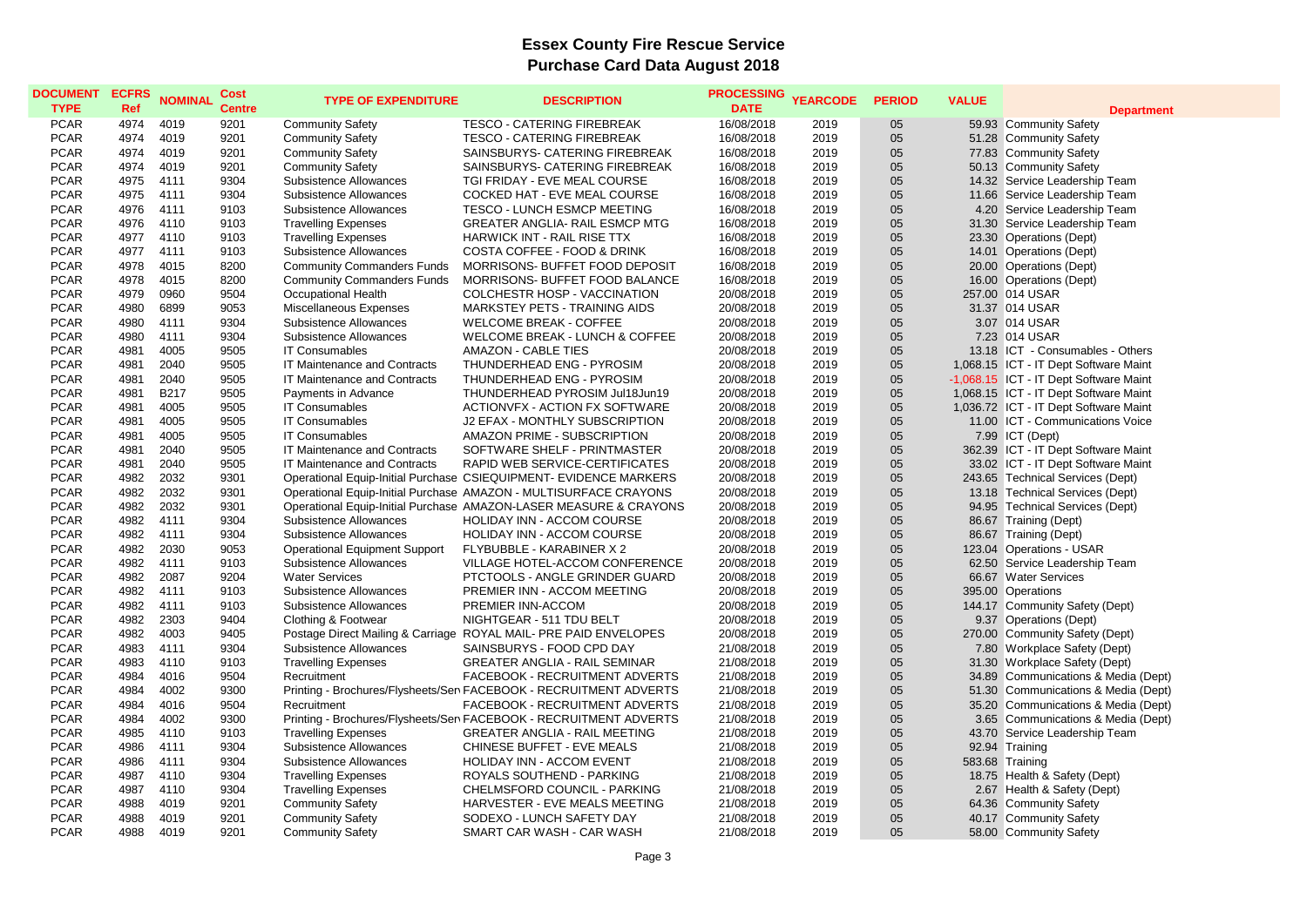| <b>PCAR</b><br>4019<br><b>TESCO - CATERING FIREBREAK</b><br>16/08/2018<br>05<br>4974<br>9201<br><b>Community Safety</b><br>2019<br>59.93 Community Safety<br><b>PCAR</b><br>4974<br>4019<br>9201<br><b>TESCO - CATERING FIREBREAK</b><br>16/08/2018<br>2019<br>05<br>51.28 Community Safety<br><b>Community Safety</b><br><b>PCAR</b><br>05<br>4974<br>4019<br>9201<br><b>Community Safety</b><br>SAINSBURYS- CATERING FIREBREAK<br>16/08/2018<br>2019<br>77.83 Community Safety<br><b>PCAR</b><br>4974<br>4019<br>9201<br><b>Community Safety</b><br>SAINSBURYS- CATERING FIREBREAK<br>16/08/2018<br>2019<br>05<br>50.13 Community Safety<br><b>PCAR</b><br>05<br>4975<br>4111<br>9304<br>Subsistence Allowances<br>2019<br>14.32 Service Leadership Team<br>TGI FRIDAY - EVE MEAL COURSE<br>16/08/2018<br><b>PCAR</b><br>4975<br>05<br>4111<br>9304<br>Subsistence Allowances<br>COCKED HAT - EVE MEAL COURSE<br>16/08/2018<br>2019<br>11.66 Service Leadership Team<br>05<br><b>PCAR</b><br>4976<br>4111<br>9103<br>Subsistence Allowances<br>TESCO - LUNCH ESMCP MEETING<br>16/08/2018<br>2019<br>4.20 Service Leadership Team<br><b>PCAR</b><br>05<br>4976<br>4110<br>9103<br>16/08/2018<br>2019<br>31.30<br>Service Leadership Team<br><b>Travelling Expenses</b><br>GREATER ANGLIA- RAIL ESMCP MTG<br><b>PCAR</b><br>05<br>4977<br>4110<br>9103<br><b>Travelling Expenses</b><br>HARWICK INT - RAIL RISE TTX<br>16/08/2018<br>2019<br>23.30 Operations (Dept)<br><b>PCAR</b><br>4977<br>4111<br>Subsistence Allowances<br>COSTA COFFEE - FOOD & DRINK<br>2019<br>05<br>14.01 Operations (Dept)<br>9103<br>16/08/2018<br><b>PCAR</b><br>4978<br>4015<br>8200<br>MORRISONS- BUFFET FOOD DEPOSIT<br>16/08/2018<br>2019<br>05<br>20.00 Operations (Dept)<br><b>Community Commanders Funds</b><br>05<br><b>PCAR</b><br>4978<br>4015<br>8200<br><b>Community Commanders Funds</b><br>MORRISONS- BUFFET FOOD BALANCE<br>16/08/2018<br>2019<br>16.00 Operations (Dept)<br>05<br><b>PCAR</b><br>4979<br>0960<br>9504<br>Occupational Health<br><b>COLCHESTR HOSP - VACCINATION</b><br>20/08/2018<br>257.00 014 USAR<br>2019<br><b>PCAR</b><br>4980<br>6899<br>9053<br>Miscellaneous Expenses<br>MARKSTEY PETS - TRAINING AIDS<br>2019<br>05<br>31.37 014 USAR<br>20/08/2018<br>05<br><b>PCAR</b><br>4980<br>4111<br>9304<br>Subsistence Allowances<br><b>WELCOME BREAK - COFFEE</b><br>20/08/2018<br>2019<br>3.07 014 USAR<br><b>PCAR</b><br>4980<br>4111<br>9304<br>Subsistence Allowances<br><b>WELCOME BREAK - LUNCH &amp; COFFEE</b><br>20/08/2018<br>2019<br>05<br>7.23 014 USAR<br>05<br><b>PCAR</b><br>4981<br>4005<br>9505<br>2019<br><b>IT Consumables</b><br><b>AMAZON - CABLE TIES</b><br>20/08/2018<br>13.18 ICT - Consumables - Others<br>05<br><b>PCAR</b><br>4981<br>2040<br>9505<br>THUNDERHEAD ENG - PYROSIM<br>20/08/2018<br>1,068.15 ICT - IT Dept Software Maint<br><b>IT Maintenance and Contracts</b><br>2019<br><b>PCAR</b><br>4981<br>2040<br>9505<br>IT Maintenance and Contracts<br>THUNDERHEAD ENG - PYROSIM<br>20/08/2018<br>2019<br>05<br>-1,068.15 ICT - IT Dept Software Maint<br>05<br><b>PCAR</b><br>4981<br><b>B217</b><br>9505<br>1,068.15 ICT - IT Dept Software Maint<br>Payments in Advance<br>THUNDERHEAD PYROSIM Jul18Jun19<br>20/08/2018<br>2019<br><b>PCAR</b><br>4981<br>4005<br>9505<br><b>IT Consumables</b><br>ACTIONVEX - ACTION EX SOFTWARE<br>20/08/2018<br>2019<br>05<br>1,036.72 ICT - IT Dept Software Maint<br>05<br><b>PCAR</b><br>4981<br>4005<br>9505<br><b>IT Consumables</b><br>2019<br>J2 EFAX - MONTHLY SUBSCRIPTION<br>20/08/2018<br>11.00 ICT - Communications Voice<br><b>PCAR</b><br>4981<br>4005<br>9505<br>AMAZON PRIME - SUBSCRIPTION<br>20/08/2018<br>2019<br>05<br>7.99 ICT (Dept)<br><b>IT Consumables</b><br><b>PCAR</b><br>4981<br>2040<br>9505<br>IT Maintenance and Contracts<br>SOFTWARE SHELF - PRINTMASTER<br>2019<br>05<br>362.39 ICT - IT Dept Software Maint<br>20/08/2018<br><b>PCAR</b><br>4981<br>2040<br>9505<br>RAPID WEB SERVICE-CERTIFICATES<br>05<br>33.02 ICT - IT Dept Software Maint<br>IT Maintenance and Contracts<br>20/08/2018<br>2019<br><b>PCAR</b><br>4982<br>2032<br>9301<br>05<br>243.65 Technical Services (Dept)<br>Operational Equip-Initial Purchase CSIEQUIPMENT- EVIDENCE MARKERS<br>20/08/2018<br>2019<br>05<br><b>PCAR</b><br>4982<br>2032<br>9301<br>Operational Equip-Initial Purchase AMAZON - MULTISURFACE CRAYONS<br>20/08/2018<br>2019<br>13.18 Technical Services (Dept)<br><b>PCAR</b><br>4982<br>2032<br>9301<br>2019<br>05<br>Operational Equip-Initial Purchase AMAZON-LASER MEASURE & CRAYONS<br>20/08/2018<br>94.95 Technical Services (Dept)<br><b>PCAR</b><br>4111<br>05<br>4982<br>9304<br>Subsistence Allowances<br>HOLIDAY INN - ACCOM COURSE<br>20/08/2018<br>2019<br>86.67 Training (Dept)<br><b>PCAR</b><br>4982<br>4111<br>9304<br>HOLIDAY INN - ACCOM COURSE<br>20/08/2018<br>05<br>86.67 Training (Dept)<br>Subsistence Allowances<br>2019<br><b>PCAR</b><br>2030<br>05<br>4982<br>9053<br><b>Operational Equipment Support</b><br>FLYBUBBLE - KARABINER X 2<br>20/08/2018<br>2019<br>123.04 Operations - USAR<br><b>PCAR</b><br>4982<br>05<br>4111<br>9103<br>Subsistence Allowances<br>VILLAGE HOTEL-ACCOM CONFERENCE<br>20/08/2018<br>2019<br>62.50 Service Leadership Team<br><b>PCAR</b><br>4982<br>2087<br>9204<br><b>Water Services</b><br>2019<br>05<br>66.67 Water Services<br>PTCTOOLS - ANGLE GRINDER GUARD<br>20/08/2018<br>05<br><b>PCAR</b><br>4982<br>4111<br>9103<br>Subsistence Allowances<br>PREMIER INN - ACCOM MEETING<br>20/08/2018<br>2019<br>395.00 Operations<br><b>PCAR</b><br>4982<br>4111<br>05<br>9103<br>Subsistence Allowances<br>PREMIER INN-ACCOM<br>20/08/2018<br>2019<br>144.17 Community Safety (Dept)<br><b>PCAR</b><br>2303<br>05<br>4982<br>9404<br>Clothing & Footwear<br>NIGHTGEAR - 511 TDU BELT<br>20/08/2018<br>2019<br>9.37 Operations (Dept)<br><b>PCAR</b><br>05<br>4982<br>4003<br>9405<br>ROYAL MAIL- PRE PAID ENVELOPES<br>20/08/2018<br>2019<br>270.00<br>Community Safety (Dept)<br>Postage Direct Mailing & Carriage<br><b>PCAR</b><br>05<br>4983<br>4111<br>9304<br>Subsistence Allowances<br>SAINSBURYS - FOOD CPD DAY<br>21/08/2018<br>2019<br>7.80 Workplace Safety (Dept)<br><b>PCAR</b><br>05<br>4983<br>4110<br>9103<br><b>Travelling Expenses</b><br><b>GREATER ANGLIA - RAIL SEMINAR</b><br>21/08/2018<br>2019<br>31.30 Workplace Safety (Dept)<br><b>PCAR</b><br>4984<br>4016<br>9504<br>05<br>FACEBOOK - RECRUITMENT ADVERTS<br>21/08/2018<br>2019<br>34.89 Communications & Media (Dept)<br>Recruitment<br>05<br><b>PCAR</b><br>4984<br>4002<br>9300<br>Printing - Brochures/Flysheets/Sen FACEBOOK - RECRUITMENT ADVERTS<br>21/08/2018<br>2019<br>Communications & Media (Dept)<br>51.30<br><b>PCAR</b><br>4016<br>05<br>4984<br>9504<br>Recruitment<br>FACEBOOK - RECRUITMENT ADVERTS<br>21/08/2018<br>2019<br>Communications & Media (Dept)<br>35.20<br><b>PCAR</b><br>4984<br>4002<br>9300<br>Printing - Brochures/Flysheets/Sen FACEBOOK - RECRUITMENT ADVERTS<br>21/08/2018<br>2019<br>05<br>3.65 Communications & Media (Dept)<br><b>PCAR</b><br>4985<br>4110<br>9103<br>21/08/2018<br>2019<br>05<br>43.70 Service Leadership Team<br><b>Travelling Expenses</b><br><b>GREATER ANGLIA - RAIL MEETING</b><br><b>PCAR</b><br>4986<br>9304<br>CHINESE BUFFET - EVE MEALS<br>05<br>4111<br>Subsistence Allowances<br>21/08/2018<br>2019<br>92.94 Training<br>05<br><b>PCAR</b><br>4986<br>4111<br>9304<br>Subsistence Allowances<br>HOLIDAY INN - ACCOM EVENT<br>21/08/2018<br>2019<br>583.68 Training<br><b>PCAR</b><br>05<br>4987<br>4110<br>9304<br>ROYALS SOUTHEND - PARKING<br>21/08/2018<br>2019<br><b>Travelling Expenses</b><br>18.75 Health & Safety (Dept)<br><b>PCAR</b><br>05<br>4987<br>4110<br>9304<br><b>Travelling Expenses</b><br>CHELMSFORD COUNCIL - PARKING<br>21/08/2018<br>2019<br>2.67 Health & Safety (Dept)<br><b>PCAR</b><br>4988<br>4019<br><b>Community Safety</b><br>2019<br>05<br>64.36 Community Safety<br>9201<br>HARVESTER - EVE MEALS MEETING<br>21/08/2018<br><b>PCAR</b><br>9201<br>05<br>4988<br>4019<br><b>Community Safety</b><br>SODEXO - LUNCH SAFETY DAY<br>21/08/2018<br>2019<br>40.17 Community Safety<br>05<br><b>PCAR</b><br>4988<br>4019<br>9201<br>2019<br>58.00 Community Safety | <b>DOCUMENT</b><br><b>TYPE</b> | <b>ECFRS</b><br>Ref | <b>NOMINAL</b> | Cost<br><b>Centre</b> | <b>TYPE OF EXPENDITURE</b> | <b>DESCRIPTION</b>        | <b>PROCESSING</b><br><b>DATE</b> | <b>YEARCODE</b> | <b>PERIOD</b> | <b>VALUE</b> | <b>Department</b> |
|----------------------------------------------------------------------------------------------------------------------------------------------------------------------------------------------------------------------------------------------------------------------------------------------------------------------------------------------------------------------------------------------------------------------------------------------------------------------------------------------------------------------------------------------------------------------------------------------------------------------------------------------------------------------------------------------------------------------------------------------------------------------------------------------------------------------------------------------------------------------------------------------------------------------------------------------------------------------------------------------------------------------------------------------------------------------------------------------------------------------------------------------------------------------------------------------------------------------------------------------------------------------------------------------------------------------------------------------------------------------------------------------------------------------------------------------------------------------------------------------------------------------------------------------------------------------------------------------------------------------------------------------------------------------------------------------------------------------------------------------------------------------------------------------------------------------------------------------------------------------------------------------------------------------------------------------------------------------------------------------------------------------------------------------------------------------------------------------------------------------------------------------------------------------------------------------------------------------------------------------------------------------------------------------------------------------------------------------------------------------------------------------------------------------------------------------------------------------------------------------------------------------------------------------------------------------------------------------------------------------------------------------------------------------------------------------------------------------------------------------------------------------------------------------------------------------------------------------------------------------------------------------------------------------------------------------------------------------------------------------------------------------------------------------------------------------------------------------------------------------------------------------------------------------------------------------------------------------------------------------------------------------------------------------------------------------------------------------------------------------------------------------------------------------------------------------------------------------------------------------------------------------------------------------------------------------------------------------------------------------------------------------------------------------------------------------------------------------------------------------------------------------------------------------------------------------------------------------------------------------------------------------------------------------------------------------------------------------------------------------------------------------------------------------------------------------------------------------------------------------------------------------------------------------------------------------------------------------------------------------------------------------------------------------------------------------------------------------------------------------------------------------------------------------------------------------------------------------------------------------------------------------------------------------------------------------------------------------------------------------------------------------------------------------------------------------------------------------------------------------------------------------------------------------------------------------------------------------------------------------------------------------------------------------------------------------------------------------------------------------------------------------------------------------------------------------------------------------------------------------------------------------------------------------------------------------------------------------------------------------------------------------------------------------------------------------------------------------------------------------------------------------------------------------------------------------------------------------------------------------------------------------------------------------------------------------------------------------------------------------------------------------------------------------------------------------------------------------------------------------------------------------------------------------------------------------------------------------------------------------------------------------------------------------------------------------------------------------------------------------------------------------------------------------------------------------------------------------------------------------------------------------------------------------------------------------------------------------------------------------------------------------------------------------------------------------------------------------------------------------------------------------------------------------------------------------------------------------------------------------------------------------------------------------------------------------------------------------------------------------------------------------------------------------------------------------------------------------------------------------------------------------------------------------------------------------------------------------------------------------------------------------------------------------------------------------------------------------------------------------------------------------------------------------------------------------------------------------------------------------------------------------------------------------------------------------------------------------------------------------------------------------------------------------------------------------------------------------------------------------------------------------------------------------------------------------------------------------------------------------------------------------------------------------------------------------------------------------------------------------------------------------------------------------------------------------------------------------------------------------------------------------------------------------------------------------------------------------------------------------------------------------------------------------------------------------------------------------------------------------------------------------------------------------------------------------------------------------------------------------------------------------------------------------------------------------------------------------------------------------------------------------------------------------------------------------------------------|--------------------------------|---------------------|----------------|-----------------------|----------------------------|---------------------------|----------------------------------|-----------------|---------------|--------------|-------------------|
|                                                                                                                                                                                                                                                                                                                                                                                                                                                                                                                                                                                                                                                                                                                                                                                                                                                                                                                                                                                                                                                                                                                                                                                                                                                                                                                                                                                                                                                                                                                                                                                                                                                                                                                                                                                                                                                                                                                                                                                                                                                                                                                                                                                                                                                                                                                                                                                                                                                                                                                                                                                                                                                                                                                                                                                                                                                                                                                                                                                                                                                                                                                                                                                                                                                                                                                                                                                                                                                                                                                                                                                                                                                                                                                                                                                                                                                                                                                                                                                                                                                                                                                                                                                                                                                                                                                                                                                                                                                                                                                                                                                                                                                                                                                                                                                                                                                                                                                                                                                                                                                                                                                                                                                                                                                                                                                                                                                                                                                                                                                                                                                                                                                                                                                                                                                                                                                                                                                                                                                                                                                                                                                                                                                                                                                                                                                                                                                                                                                                                                                                                                                                                                                                                                                                                                                                                                                                                                                                                                                                                                                                                                                                                                                                                                                                                                                                                                                                                                                                                                                                                                                                                                                                                                                                                                                                                                                                                                                                                                                                                                                                                                                                                                                                                                                                                                                                        |                                |                     |                |                       |                            |                           |                                  |                 |               |              |                   |
|                                                                                                                                                                                                                                                                                                                                                                                                                                                                                                                                                                                                                                                                                                                                                                                                                                                                                                                                                                                                                                                                                                                                                                                                                                                                                                                                                                                                                                                                                                                                                                                                                                                                                                                                                                                                                                                                                                                                                                                                                                                                                                                                                                                                                                                                                                                                                                                                                                                                                                                                                                                                                                                                                                                                                                                                                                                                                                                                                                                                                                                                                                                                                                                                                                                                                                                                                                                                                                                                                                                                                                                                                                                                                                                                                                                                                                                                                                                                                                                                                                                                                                                                                                                                                                                                                                                                                                                                                                                                                                                                                                                                                                                                                                                                                                                                                                                                                                                                                                                                                                                                                                                                                                                                                                                                                                                                                                                                                                                                                                                                                                                                                                                                                                                                                                                                                                                                                                                                                                                                                                                                                                                                                                                                                                                                                                                                                                                                                                                                                                                                                                                                                                                                                                                                                                                                                                                                                                                                                                                                                                                                                                                                                                                                                                                                                                                                                                                                                                                                                                                                                                                                                                                                                                                                                                                                                                                                                                                                                                                                                                                                                                                                                                                                                                                                                                                                        |                                |                     |                |                       |                            |                           |                                  |                 |               |              |                   |
|                                                                                                                                                                                                                                                                                                                                                                                                                                                                                                                                                                                                                                                                                                                                                                                                                                                                                                                                                                                                                                                                                                                                                                                                                                                                                                                                                                                                                                                                                                                                                                                                                                                                                                                                                                                                                                                                                                                                                                                                                                                                                                                                                                                                                                                                                                                                                                                                                                                                                                                                                                                                                                                                                                                                                                                                                                                                                                                                                                                                                                                                                                                                                                                                                                                                                                                                                                                                                                                                                                                                                                                                                                                                                                                                                                                                                                                                                                                                                                                                                                                                                                                                                                                                                                                                                                                                                                                                                                                                                                                                                                                                                                                                                                                                                                                                                                                                                                                                                                                                                                                                                                                                                                                                                                                                                                                                                                                                                                                                                                                                                                                                                                                                                                                                                                                                                                                                                                                                                                                                                                                                                                                                                                                                                                                                                                                                                                                                                                                                                                                                                                                                                                                                                                                                                                                                                                                                                                                                                                                                                                                                                                                                                                                                                                                                                                                                                                                                                                                                                                                                                                                                                                                                                                                                                                                                                                                                                                                                                                                                                                                                                                                                                                                                                                                                                                                                        |                                |                     |                |                       |                            |                           |                                  |                 |               |              |                   |
|                                                                                                                                                                                                                                                                                                                                                                                                                                                                                                                                                                                                                                                                                                                                                                                                                                                                                                                                                                                                                                                                                                                                                                                                                                                                                                                                                                                                                                                                                                                                                                                                                                                                                                                                                                                                                                                                                                                                                                                                                                                                                                                                                                                                                                                                                                                                                                                                                                                                                                                                                                                                                                                                                                                                                                                                                                                                                                                                                                                                                                                                                                                                                                                                                                                                                                                                                                                                                                                                                                                                                                                                                                                                                                                                                                                                                                                                                                                                                                                                                                                                                                                                                                                                                                                                                                                                                                                                                                                                                                                                                                                                                                                                                                                                                                                                                                                                                                                                                                                                                                                                                                                                                                                                                                                                                                                                                                                                                                                                                                                                                                                                                                                                                                                                                                                                                                                                                                                                                                                                                                                                                                                                                                                                                                                                                                                                                                                                                                                                                                                                                                                                                                                                                                                                                                                                                                                                                                                                                                                                                                                                                                                                                                                                                                                                                                                                                                                                                                                                                                                                                                                                                                                                                                                                                                                                                                                                                                                                                                                                                                                                                                                                                                                                                                                                                                                                        |                                |                     |                |                       |                            |                           |                                  |                 |               |              |                   |
|                                                                                                                                                                                                                                                                                                                                                                                                                                                                                                                                                                                                                                                                                                                                                                                                                                                                                                                                                                                                                                                                                                                                                                                                                                                                                                                                                                                                                                                                                                                                                                                                                                                                                                                                                                                                                                                                                                                                                                                                                                                                                                                                                                                                                                                                                                                                                                                                                                                                                                                                                                                                                                                                                                                                                                                                                                                                                                                                                                                                                                                                                                                                                                                                                                                                                                                                                                                                                                                                                                                                                                                                                                                                                                                                                                                                                                                                                                                                                                                                                                                                                                                                                                                                                                                                                                                                                                                                                                                                                                                                                                                                                                                                                                                                                                                                                                                                                                                                                                                                                                                                                                                                                                                                                                                                                                                                                                                                                                                                                                                                                                                                                                                                                                                                                                                                                                                                                                                                                                                                                                                                                                                                                                                                                                                                                                                                                                                                                                                                                                                                                                                                                                                                                                                                                                                                                                                                                                                                                                                                                                                                                                                                                                                                                                                                                                                                                                                                                                                                                                                                                                                                                                                                                                                                                                                                                                                                                                                                                                                                                                                                                                                                                                                                                                                                                                                                        |                                |                     |                |                       |                            |                           |                                  |                 |               |              |                   |
|                                                                                                                                                                                                                                                                                                                                                                                                                                                                                                                                                                                                                                                                                                                                                                                                                                                                                                                                                                                                                                                                                                                                                                                                                                                                                                                                                                                                                                                                                                                                                                                                                                                                                                                                                                                                                                                                                                                                                                                                                                                                                                                                                                                                                                                                                                                                                                                                                                                                                                                                                                                                                                                                                                                                                                                                                                                                                                                                                                                                                                                                                                                                                                                                                                                                                                                                                                                                                                                                                                                                                                                                                                                                                                                                                                                                                                                                                                                                                                                                                                                                                                                                                                                                                                                                                                                                                                                                                                                                                                                                                                                                                                                                                                                                                                                                                                                                                                                                                                                                                                                                                                                                                                                                                                                                                                                                                                                                                                                                                                                                                                                                                                                                                                                                                                                                                                                                                                                                                                                                                                                                                                                                                                                                                                                                                                                                                                                                                                                                                                                                                                                                                                                                                                                                                                                                                                                                                                                                                                                                                                                                                                                                                                                                                                                                                                                                                                                                                                                                                                                                                                                                                                                                                                                                                                                                                                                                                                                                                                                                                                                                                                                                                                                                                                                                                                                                        |                                |                     |                |                       |                            |                           |                                  |                 |               |              |                   |
|                                                                                                                                                                                                                                                                                                                                                                                                                                                                                                                                                                                                                                                                                                                                                                                                                                                                                                                                                                                                                                                                                                                                                                                                                                                                                                                                                                                                                                                                                                                                                                                                                                                                                                                                                                                                                                                                                                                                                                                                                                                                                                                                                                                                                                                                                                                                                                                                                                                                                                                                                                                                                                                                                                                                                                                                                                                                                                                                                                                                                                                                                                                                                                                                                                                                                                                                                                                                                                                                                                                                                                                                                                                                                                                                                                                                                                                                                                                                                                                                                                                                                                                                                                                                                                                                                                                                                                                                                                                                                                                                                                                                                                                                                                                                                                                                                                                                                                                                                                                                                                                                                                                                                                                                                                                                                                                                                                                                                                                                                                                                                                                                                                                                                                                                                                                                                                                                                                                                                                                                                                                                                                                                                                                                                                                                                                                                                                                                                                                                                                                                                                                                                                                                                                                                                                                                                                                                                                                                                                                                                                                                                                                                                                                                                                                                                                                                                                                                                                                                                                                                                                                                                                                                                                                                                                                                                                                                                                                                                                                                                                                                                                                                                                                                                                                                                                                                        |                                |                     |                |                       |                            |                           |                                  |                 |               |              |                   |
|                                                                                                                                                                                                                                                                                                                                                                                                                                                                                                                                                                                                                                                                                                                                                                                                                                                                                                                                                                                                                                                                                                                                                                                                                                                                                                                                                                                                                                                                                                                                                                                                                                                                                                                                                                                                                                                                                                                                                                                                                                                                                                                                                                                                                                                                                                                                                                                                                                                                                                                                                                                                                                                                                                                                                                                                                                                                                                                                                                                                                                                                                                                                                                                                                                                                                                                                                                                                                                                                                                                                                                                                                                                                                                                                                                                                                                                                                                                                                                                                                                                                                                                                                                                                                                                                                                                                                                                                                                                                                                                                                                                                                                                                                                                                                                                                                                                                                                                                                                                                                                                                                                                                                                                                                                                                                                                                                                                                                                                                                                                                                                                                                                                                                                                                                                                                                                                                                                                                                                                                                                                                                                                                                                                                                                                                                                                                                                                                                                                                                                                                                                                                                                                                                                                                                                                                                                                                                                                                                                                                                                                                                                                                                                                                                                                                                                                                                                                                                                                                                                                                                                                                                                                                                                                                                                                                                                                                                                                                                                                                                                                                                                                                                                                                                                                                                                                                        |                                |                     |                |                       |                            |                           |                                  |                 |               |              |                   |
|                                                                                                                                                                                                                                                                                                                                                                                                                                                                                                                                                                                                                                                                                                                                                                                                                                                                                                                                                                                                                                                                                                                                                                                                                                                                                                                                                                                                                                                                                                                                                                                                                                                                                                                                                                                                                                                                                                                                                                                                                                                                                                                                                                                                                                                                                                                                                                                                                                                                                                                                                                                                                                                                                                                                                                                                                                                                                                                                                                                                                                                                                                                                                                                                                                                                                                                                                                                                                                                                                                                                                                                                                                                                                                                                                                                                                                                                                                                                                                                                                                                                                                                                                                                                                                                                                                                                                                                                                                                                                                                                                                                                                                                                                                                                                                                                                                                                                                                                                                                                                                                                                                                                                                                                                                                                                                                                                                                                                                                                                                                                                                                                                                                                                                                                                                                                                                                                                                                                                                                                                                                                                                                                                                                                                                                                                                                                                                                                                                                                                                                                                                                                                                                                                                                                                                                                                                                                                                                                                                                                                                                                                                                                                                                                                                                                                                                                                                                                                                                                                                                                                                                                                                                                                                                                                                                                                                                                                                                                                                                                                                                                                                                                                                                                                                                                                                                                        |                                |                     |                |                       |                            |                           |                                  |                 |               |              |                   |
|                                                                                                                                                                                                                                                                                                                                                                                                                                                                                                                                                                                                                                                                                                                                                                                                                                                                                                                                                                                                                                                                                                                                                                                                                                                                                                                                                                                                                                                                                                                                                                                                                                                                                                                                                                                                                                                                                                                                                                                                                                                                                                                                                                                                                                                                                                                                                                                                                                                                                                                                                                                                                                                                                                                                                                                                                                                                                                                                                                                                                                                                                                                                                                                                                                                                                                                                                                                                                                                                                                                                                                                                                                                                                                                                                                                                                                                                                                                                                                                                                                                                                                                                                                                                                                                                                                                                                                                                                                                                                                                                                                                                                                                                                                                                                                                                                                                                                                                                                                                                                                                                                                                                                                                                                                                                                                                                                                                                                                                                                                                                                                                                                                                                                                                                                                                                                                                                                                                                                                                                                                                                                                                                                                                                                                                                                                                                                                                                                                                                                                                                                                                                                                                                                                                                                                                                                                                                                                                                                                                                                                                                                                                                                                                                                                                                                                                                                                                                                                                                                                                                                                                                                                                                                                                                                                                                                                                                                                                                                                                                                                                                                                                                                                                                                                                                                                                                        |                                |                     |                |                       |                            |                           |                                  |                 |               |              |                   |
|                                                                                                                                                                                                                                                                                                                                                                                                                                                                                                                                                                                                                                                                                                                                                                                                                                                                                                                                                                                                                                                                                                                                                                                                                                                                                                                                                                                                                                                                                                                                                                                                                                                                                                                                                                                                                                                                                                                                                                                                                                                                                                                                                                                                                                                                                                                                                                                                                                                                                                                                                                                                                                                                                                                                                                                                                                                                                                                                                                                                                                                                                                                                                                                                                                                                                                                                                                                                                                                                                                                                                                                                                                                                                                                                                                                                                                                                                                                                                                                                                                                                                                                                                                                                                                                                                                                                                                                                                                                                                                                                                                                                                                                                                                                                                                                                                                                                                                                                                                                                                                                                                                                                                                                                                                                                                                                                                                                                                                                                                                                                                                                                                                                                                                                                                                                                                                                                                                                                                                                                                                                                                                                                                                                                                                                                                                                                                                                                                                                                                                                                                                                                                                                                                                                                                                                                                                                                                                                                                                                                                                                                                                                                                                                                                                                                                                                                                                                                                                                                                                                                                                                                                                                                                                                                                                                                                                                                                                                                                                                                                                                                                                                                                                                                                                                                                                                                        |                                |                     |                |                       |                            |                           |                                  |                 |               |              |                   |
|                                                                                                                                                                                                                                                                                                                                                                                                                                                                                                                                                                                                                                                                                                                                                                                                                                                                                                                                                                                                                                                                                                                                                                                                                                                                                                                                                                                                                                                                                                                                                                                                                                                                                                                                                                                                                                                                                                                                                                                                                                                                                                                                                                                                                                                                                                                                                                                                                                                                                                                                                                                                                                                                                                                                                                                                                                                                                                                                                                                                                                                                                                                                                                                                                                                                                                                                                                                                                                                                                                                                                                                                                                                                                                                                                                                                                                                                                                                                                                                                                                                                                                                                                                                                                                                                                                                                                                                                                                                                                                                                                                                                                                                                                                                                                                                                                                                                                                                                                                                                                                                                                                                                                                                                                                                                                                                                                                                                                                                                                                                                                                                                                                                                                                                                                                                                                                                                                                                                                                                                                                                                                                                                                                                                                                                                                                                                                                                                                                                                                                                                                                                                                                                                                                                                                                                                                                                                                                                                                                                                                                                                                                                                                                                                                                                                                                                                                                                                                                                                                                                                                                                                                                                                                                                                                                                                                                                                                                                                                                                                                                                                                                                                                                                                                                                                                                                                        |                                |                     |                |                       |                            |                           |                                  |                 |               |              |                   |
|                                                                                                                                                                                                                                                                                                                                                                                                                                                                                                                                                                                                                                                                                                                                                                                                                                                                                                                                                                                                                                                                                                                                                                                                                                                                                                                                                                                                                                                                                                                                                                                                                                                                                                                                                                                                                                                                                                                                                                                                                                                                                                                                                                                                                                                                                                                                                                                                                                                                                                                                                                                                                                                                                                                                                                                                                                                                                                                                                                                                                                                                                                                                                                                                                                                                                                                                                                                                                                                                                                                                                                                                                                                                                                                                                                                                                                                                                                                                                                                                                                                                                                                                                                                                                                                                                                                                                                                                                                                                                                                                                                                                                                                                                                                                                                                                                                                                                                                                                                                                                                                                                                                                                                                                                                                                                                                                                                                                                                                                                                                                                                                                                                                                                                                                                                                                                                                                                                                                                                                                                                                                                                                                                                                                                                                                                                                                                                                                                                                                                                                                                                                                                                                                                                                                                                                                                                                                                                                                                                                                                                                                                                                                                                                                                                                                                                                                                                                                                                                                                                                                                                                                                                                                                                                                                                                                                                                                                                                                                                                                                                                                                                                                                                                                                                                                                                                                        |                                |                     |                |                       |                            |                           |                                  |                 |               |              |                   |
|                                                                                                                                                                                                                                                                                                                                                                                                                                                                                                                                                                                                                                                                                                                                                                                                                                                                                                                                                                                                                                                                                                                                                                                                                                                                                                                                                                                                                                                                                                                                                                                                                                                                                                                                                                                                                                                                                                                                                                                                                                                                                                                                                                                                                                                                                                                                                                                                                                                                                                                                                                                                                                                                                                                                                                                                                                                                                                                                                                                                                                                                                                                                                                                                                                                                                                                                                                                                                                                                                                                                                                                                                                                                                                                                                                                                                                                                                                                                                                                                                                                                                                                                                                                                                                                                                                                                                                                                                                                                                                                                                                                                                                                                                                                                                                                                                                                                                                                                                                                                                                                                                                                                                                                                                                                                                                                                                                                                                                                                                                                                                                                                                                                                                                                                                                                                                                                                                                                                                                                                                                                                                                                                                                                                                                                                                                                                                                                                                                                                                                                                                                                                                                                                                                                                                                                                                                                                                                                                                                                                                                                                                                                                                                                                                                                                                                                                                                                                                                                                                                                                                                                                                                                                                                                                                                                                                                                                                                                                                                                                                                                                                                                                                                                                                                                                                                                                        |                                |                     |                |                       |                            |                           |                                  |                 |               |              |                   |
|                                                                                                                                                                                                                                                                                                                                                                                                                                                                                                                                                                                                                                                                                                                                                                                                                                                                                                                                                                                                                                                                                                                                                                                                                                                                                                                                                                                                                                                                                                                                                                                                                                                                                                                                                                                                                                                                                                                                                                                                                                                                                                                                                                                                                                                                                                                                                                                                                                                                                                                                                                                                                                                                                                                                                                                                                                                                                                                                                                                                                                                                                                                                                                                                                                                                                                                                                                                                                                                                                                                                                                                                                                                                                                                                                                                                                                                                                                                                                                                                                                                                                                                                                                                                                                                                                                                                                                                                                                                                                                                                                                                                                                                                                                                                                                                                                                                                                                                                                                                                                                                                                                                                                                                                                                                                                                                                                                                                                                                                                                                                                                                                                                                                                                                                                                                                                                                                                                                                                                                                                                                                                                                                                                                                                                                                                                                                                                                                                                                                                                                                                                                                                                                                                                                                                                                                                                                                                                                                                                                                                                                                                                                                                                                                                                                                                                                                                                                                                                                                                                                                                                                                                                                                                                                                                                                                                                                                                                                                                                                                                                                                                                                                                                                                                                                                                                                                        |                                |                     |                |                       |                            |                           |                                  |                 |               |              |                   |
|                                                                                                                                                                                                                                                                                                                                                                                                                                                                                                                                                                                                                                                                                                                                                                                                                                                                                                                                                                                                                                                                                                                                                                                                                                                                                                                                                                                                                                                                                                                                                                                                                                                                                                                                                                                                                                                                                                                                                                                                                                                                                                                                                                                                                                                                                                                                                                                                                                                                                                                                                                                                                                                                                                                                                                                                                                                                                                                                                                                                                                                                                                                                                                                                                                                                                                                                                                                                                                                                                                                                                                                                                                                                                                                                                                                                                                                                                                                                                                                                                                                                                                                                                                                                                                                                                                                                                                                                                                                                                                                                                                                                                                                                                                                                                                                                                                                                                                                                                                                                                                                                                                                                                                                                                                                                                                                                                                                                                                                                                                                                                                                                                                                                                                                                                                                                                                                                                                                                                                                                                                                                                                                                                                                                                                                                                                                                                                                                                                                                                                                                                                                                                                                                                                                                                                                                                                                                                                                                                                                                                                                                                                                                                                                                                                                                                                                                                                                                                                                                                                                                                                                                                                                                                                                                                                                                                                                                                                                                                                                                                                                                                                                                                                                                                                                                                                                                        |                                |                     |                |                       |                            |                           |                                  |                 |               |              |                   |
|                                                                                                                                                                                                                                                                                                                                                                                                                                                                                                                                                                                                                                                                                                                                                                                                                                                                                                                                                                                                                                                                                                                                                                                                                                                                                                                                                                                                                                                                                                                                                                                                                                                                                                                                                                                                                                                                                                                                                                                                                                                                                                                                                                                                                                                                                                                                                                                                                                                                                                                                                                                                                                                                                                                                                                                                                                                                                                                                                                                                                                                                                                                                                                                                                                                                                                                                                                                                                                                                                                                                                                                                                                                                                                                                                                                                                                                                                                                                                                                                                                                                                                                                                                                                                                                                                                                                                                                                                                                                                                                                                                                                                                                                                                                                                                                                                                                                                                                                                                                                                                                                                                                                                                                                                                                                                                                                                                                                                                                                                                                                                                                                                                                                                                                                                                                                                                                                                                                                                                                                                                                                                                                                                                                                                                                                                                                                                                                                                                                                                                                                                                                                                                                                                                                                                                                                                                                                                                                                                                                                                                                                                                                                                                                                                                                                                                                                                                                                                                                                                                                                                                                                                                                                                                                                                                                                                                                                                                                                                                                                                                                                                                                                                                                                                                                                                                                                        |                                |                     |                |                       |                            |                           |                                  |                 |               |              |                   |
|                                                                                                                                                                                                                                                                                                                                                                                                                                                                                                                                                                                                                                                                                                                                                                                                                                                                                                                                                                                                                                                                                                                                                                                                                                                                                                                                                                                                                                                                                                                                                                                                                                                                                                                                                                                                                                                                                                                                                                                                                                                                                                                                                                                                                                                                                                                                                                                                                                                                                                                                                                                                                                                                                                                                                                                                                                                                                                                                                                                                                                                                                                                                                                                                                                                                                                                                                                                                                                                                                                                                                                                                                                                                                                                                                                                                                                                                                                                                                                                                                                                                                                                                                                                                                                                                                                                                                                                                                                                                                                                                                                                                                                                                                                                                                                                                                                                                                                                                                                                                                                                                                                                                                                                                                                                                                                                                                                                                                                                                                                                                                                                                                                                                                                                                                                                                                                                                                                                                                                                                                                                                                                                                                                                                                                                                                                                                                                                                                                                                                                                                                                                                                                                                                                                                                                                                                                                                                                                                                                                                                                                                                                                                                                                                                                                                                                                                                                                                                                                                                                                                                                                                                                                                                                                                                                                                                                                                                                                                                                                                                                                                                                                                                                                                                                                                                                                                        |                                |                     |                |                       |                            |                           |                                  |                 |               |              |                   |
|                                                                                                                                                                                                                                                                                                                                                                                                                                                                                                                                                                                                                                                                                                                                                                                                                                                                                                                                                                                                                                                                                                                                                                                                                                                                                                                                                                                                                                                                                                                                                                                                                                                                                                                                                                                                                                                                                                                                                                                                                                                                                                                                                                                                                                                                                                                                                                                                                                                                                                                                                                                                                                                                                                                                                                                                                                                                                                                                                                                                                                                                                                                                                                                                                                                                                                                                                                                                                                                                                                                                                                                                                                                                                                                                                                                                                                                                                                                                                                                                                                                                                                                                                                                                                                                                                                                                                                                                                                                                                                                                                                                                                                                                                                                                                                                                                                                                                                                                                                                                                                                                                                                                                                                                                                                                                                                                                                                                                                                                                                                                                                                                                                                                                                                                                                                                                                                                                                                                                                                                                                                                                                                                                                                                                                                                                                                                                                                                                                                                                                                                                                                                                                                                                                                                                                                                                                                                                                                                                                                                                                                                                                                                                                                                                                                                                                                                                                                                                                                                                                                                                                                                                                                                                                                                                                                                                                                                                                                                                                                                                                                                                                                                                                                                                                                                                                                                        |                                |                     |                |                       |                            |                           |                                  |                 |               |              |                   |
|                                                                                                                                                                                                                                                                                                                                                                                                                                                                                                                                                                                                                                                                                                                                                                                                                                                                                                                                                                                                                                                                                                                                                                                                                                                                                                                                                                                                                                                                                                                                                                                                                                                                                                                                                                                                                                                                                                                                                                                                                                                                                                                                                                                                                                                                                                                                                                                                                                                                                                                                                                                                                                                                                                                                                                                                                                                                                                                                                                                                                                                                                                                                                                                                                                                                                                                                                                                                                                                                                                                                                                                                                                                                                                                                                                                                                                                                                                                                                                                                                                                                                                                                                                                                                                                                                                                                                                                                                                                                                                                                                                                                                                                                                                                                                                                                                                                                                                                                                                                                                                                                                                                                                                                                                                                                                                                                                                                                                                                                                                                                                                                                                                                                                                                                                                                                                                                                                                                                                                                                                                                                                                                                                                                                                                                                                                                                                                                                                                                                                                                                                                                                                                                                                                                                                                                                                                                                                                                                                                                                                                                                                                                                                                                                                                                                                                                                                                                                                                                                                                                                                                                                                                                                                                                                                                                                                                                                                                                                                                                                                                                                                                                                                                                                                                                                                                                                        |                                |                     |                |                       |                            |                           |                                  |                 |               |              |                   |
|                                                                                                                                                                                                                                                                                                                                                                                                                                                                                                                                                                                                                                                                                                                                                                                                                                                                                                                                                                                                                                                                                                                                                                                                                                                                                                                                                                                                                                                                                                                                                                                                                                                                                                                                                                                                                                                                                                                                                                                                                                                                                                                                                                                                                                                                                                                                                                                                                                                                                                                                                                                                                                                                                                                                                                                                                                                                                                                                                                                                                                                                                                                                                                                                                                                                                                                                                                                                                                                                                                                                                                                                                                                                                                                                                                                                                                                                                                                                                                                                                                                                                                                                                                                                                                                                                                                                                                                                                                                                                                                                                                                                                                                                                                                                                                                                                                                                                                                                                                                                                                                                                                                                                                                                                                                                                                                                                                                                                                                                                                                                                                                                                                                                                                                                                                                                                                                                                                                                                                                                                                                                                                                                                                                                                                                                                                                                                                                                                                                                                                                                                                                                                                                                                                                                                                                                                                                                                                                                                                                                                                                                                                                                                                                                                                                                                                                                                                                                                                                                                                                                                                                                                                                                                                                                                                                                                                                                                                                                                                                                                                                                                                                                                                                                                                                                                                                                        |                                |                     |                |                       |                            |                           |                                  |                 |               |              |                   |
|                                                                                                                                                                                                                                                                                                                                                                                                                                                                                                                                                                                                                                                                                                                                                                                                                                                                                                                                                                                                                                                                                                                                                                                                                                                                                                                                                                                                                                                                                                                                                                                                                                                                                                                                                                                                                                                                                                                                                                                                                                                                                                                                                                                                                                                                                                                                                                                                                                                                                                                                                                                                                                                                                                                                                                                                                                                                                                                                                                                                                                                                                                                                                                                                                                                                                                                                                                                                                                                                                                                                                                                                                                                                                                                                                                                                                                                                                                                                                                                                                                                                                                                                                                                                                                                                                                                                                                                                                                                                                                                                                                                                                                                                                                                                                                                                                                                                                                                                                                                                                                                                                                                                                                                                                                                                                                                                                                                                                                                                                                                                                                                                                                                                                                                                                                                                                                                                                                                                                                                                                                                                                                                                                                                                                                                                                                                                                                                                                                                                                                                                                                                                                                                                                                                                                                                                                                                                                                                                                                                                                                                                                                                                                                                                                                                                                                                                                                                                                                                                                                                                                                                                                                                                                                                                                                                                                                                                                                                                                                                                                                                                                                                                                                                                                                                                                                                                        |                                |                     |                |                       |                            |                           |                                  |                 |               |              |                   |
|                                                                                                                                                                                                                                                                                                                                                                                                                                                                                                                                                                                                                                                                                                                                                                                                                                                                                                                                                                                                                                                                                                                                                                                                                                                                                                                                                                                                                                                                                                                                                                                                                                                                                                                                                                                                                                                                                                                                                                                                                                                                                                                                                                                                                                                                                                                                                                                                                                                                                                                                                                                                                                                                                                                                                                                                                                                                                                                                                                                                                                                                                                                                                                                                                                                                                                                                                                                                                                                                                                                                                                                                                                                                                                                                                                                                                                                                                                                                                                                                                                                                                                                                                                                                                                                                                                                                                                                                                                                                                                                                                                                                                                                                                                                                                                                                                                                                                                                                                                                                                                                                                                                                                                                                                                                                                                                                                                                                                                                                                                                                                                                                                                                                                                                                                                                                                                                                                                                                                                                                                                                                                                                                                                                                                                                                                                                                                                                                                                                                                                                                                                                                                                                                                                                                                                                                                                                                                                                                                                                                                                                                                                                                                                                                                                                                                                                                                                                                                                                                                                                                                                                                                                                                                                                                                                                                                                                                                                                                                                                                                                                                                                                                                                                                                                                                                                                                        |                                |                     |                |                       |                            |                           |                                  |                 |               |              |                   |
|                                                                                                                                                                                                                                                                                                                                                                                                                                                                                                                                                                                                                                                                                                                                                                                                                                                                                                                                                                                                                                                                                                                                                                                                                                                                                                                                                                                                                                                                                                                                                                                                                                                                                                                                                                                                                                                                                                                                                                                                                                                                                                                                                                                                                                                                                                                                                                                                                                                                                                                                                                                                                                                                                                                                                                                                                                                                                                                                                                                                                                                                                                                                                                                                                                                                                                                                                                                                                                                                                                                                                                                                                                                                                                                                                                                                                                                                                                                                                                                                                                                                                                                                                                                                                                                                                                                                                                                                                                                                                                                                                                                                                                                                                                                                                                                                                                                                                                                                                                                                                                                                                                                                                                                                                                                                                                                                                                                                                                                                                                                                                                                                                                                                                                                                                                                                                                                                                                                                                                                                                                                                                                                                                                                                                                                                                                                                                                                                                                                                                                                                                                                                                                                                                                                                                                                                                                                                                                                                                                                                                                                                                                                                                                                                                                                                                                                                                                                                                                                                                                                                                                                                                                                                                                                                                                                                                                                                                                                                                                                                                                                                                                                                                                                                                                                                                                                                        |                                |                     |                |                       |                            |                           |                                  |                 |               |              |                   |
|                                                                                                                                                                                                                                                                                                                                                                                                                                                                                                                                                                                                                                                                                                                                                                                                                                                                                                                                                                                                                                                                                                                                                                                                                                                                                                                                                                                                                                                                                                                                                                                                                                                                                                                                                                                                                                                                                                                                                                                                                                                                                                                                                                                                                                                                                                                                                                                                                                                                                                                                                                                                                                                                                                                                                                                                                                                                                                                                                                                                                                                                                                                                                                                                                                                                                                                                                                                                                                                                                                                                                                                                                                                                                                                                                                                                                                                                                                                                                                                                                                                                                                                                                                                                                                                                                                                                                                                                                                                                                                                                                                                                                                                                                                                                                                                                                                                                                                                                                                                                                                                                                                                                                                                                                                                                                                                                                                                                                                                                                                                                                                                                                                                                                                                                                                                                                                                                                                                                                                                                                                                                                                                                                                                                                                                                                                                                                                                                                                                                                                                                                                                                                                                                                                                                                                                                                                                                                                                                                                                                                                                                                                                                                                                                                                                                                                                                                                                                                                                                                                                                                                                                                                                                                                                                                                                                                                                                                                                                                                                                                                                                                                                                                                                                                                                                                                                                        |                                |                     |                |                       |                            |                           |                                  |                 |               |              |                   |
|                                                                                                                                                                                                                                                                                                                                                                                                                                                                                                                                                                                                                                                                                                                                                                                                                                                                                                                                                                                                                                                                                                                                                                                                                                                                                                                                                                                                                                                                                                                                                                                                                                                                                                                                                                                                                                                                                                                                                                                                                                                                                                                                                                                                                                                                                                                                                                                                                                                                                                                                                                                                                                                                                                                                                                                                                                                                                                                                                                                                                                                                                                                                                                                                                                                                                                                                                                                                                                                                                                                                                                                                                                                                                                                                                                                                                                                                                                                                                                                                                                                                                                                                                                                                                                                                                                                                                                                                                                                                                                                                                                                                                                                                                                                                                                                                                                                                                                                                                                                                                                                                                                                                                                                                                                                                                                                                                                                                                                                                                                                                                                                                                                                                                                                                                                                                                                                                                                                                                                                                                                                                                                                                                                                                                                                                                                                                                                                                                                                                                                                                                                                                                                                                                                                                                                                                                                                                                                                                                                                                                                                                                                                                                                                                                                                                                                                                                                                                                                                                                                                                                                                                                                                                                                                                                                                                                                                                                                                                                                                                                                                                                                                                                                                                                                                                                                                                        |                                |                     |                |                       |                            |                           |                                  |                 |               |              |                   |
|                                                                                                                                                                                                                                                                                                                                                                                                                                                                                                                                                                                                                                                                                                                                                                                                                                                                                                                                                                                                                                                                                                                                                                                                                                                                                                                                                                                                                                                                                                                                                                                                                                                                                                                                                                                                                                                                                                                                                                                                                                                                                                                                                                                                                                                                                                                                                                                                                                                                                                                                                                                                                                                                                                                                                                                                                                                                                                                                                                                                                                                                                                                                                                                                                                                                                                                                                                                                                                                                                                                                                                                                                                                                                                                                                                                                                                                                                                                                                                                                                                                                                                                                                                                                                                                                                                                                                                                                                                                                                                                                                                                                                                                                                                                                                                                                                                                                                                                                                                                                                                                                                                                                                                                                                                                                                                                                                                                                                                                                                                                                                                                                                                                                                                                                                                                                                                                                                                                                                                                                                                                                                                                                                                                                                                                                                                                                                                                                                                                                                                                                                                                                                                                                                                                                                                                                                                                                                                                                                                                                                                                                                                                                                                                                                                                                                                                                                                                                                                                                                                                                                                                                                                                                                                                                                                                                                                                                                                                                                                                                                                                                                                                                                                                                                                                                                                                                        |                                |                     |                |                       |                            |                           |                                  |                 |               |              |                   |
|                                                                                                                                                                                                                                                                                                                                                                                                                                                                                                                                                                                                                                                                                                                                                                                                                                                                                                                                                                                                                                                                                                                                                                                                                                                                                                                                                                                                                                                                                                                                                                                                                                                                                                                                                                                                                                                                                                                                                                                                                                                                                                                                                                                                                                                                                                                                                                                                                                                                                                                                                                                                                                                                                                                                                                                                                                                                                                                                                                                                                                                                                                                                                                                                                                                                                                                                                                                                                                                                                                                                                                                                                                                                                                                                                                                                                                                                                                                                                                                                                                                                                                                                                                                                                                                                                                                                                                                                                                                                                                                                                                                                                                                                                                                                                                                                                                                                                                                                                                                                                                                                                                                                                                                                                                                                                                                                                                                                                                                                                                                                                                                                                                                                                                                                                                                                                                                                                                                                                                                                                                                                                                                                                                                                                                                                                                                                                                                                                                                                                                                                                                                                                                                                                                                                                                                                                                                                                                                                                                                                                                                                                                                                                                                                                                                                                                                                                                                                                                                                                                                                                                                                                                                                                                                                                                                                                                                                                                                                                                                                                                                                                                                                                                                                                                                                                                                                        |                                |                     |                |                       |                            |                           |                                  |                 |               |              |                   |
|                                                                                                                                                                                                                                                                                                                                                                                                                                                                                                                                                                                                                                                                                                                                                                                                                                                                                                                                                                                                                                                                                                                                                                                                                                                                                                                                                                                                                                                                                                                                                                                                                                                                                                                                                                                                                                                                                                                                                                                                                                                                                                                                                                                                                                                                                                                                                                                                                                                                                                                                                                                                                                                                                                                                                                                                                                                                                                                                                                                                                                                                                                                                                                                                                                                                                                                                                                                                                                                                                                                                                                                                                                                                                                                                                                                                                                                                                                                                                                                                                                                                                                                                                                                                                                                                                                                                                                                                                                                                                                                                                                                                                                                                                                                                                                                                                                                                                                                                                                                                                                                                                                                                                                                                                                                                                                                                                                                                                                                                                                                                                                                                                                                                                                                                                                                                                                                                                                                                                                                                                                                                                                                                                                                                                                                                                                                                                                                                                                                                                                                                                                                                                                                                                                                                                                                                                                                                                                                                                                                                                                                                                                                                                                                                                                                                                                                                                                                                                                                                                                                                                                                                                                                                                                                                                                                                                                                                                                                                                                                                                                                                                                                                                                                                                                                                                                                                        |                                |                     |                |                       |                            |                           |                                  |                 |               |              |                   |
|                                                                                                                                                                                                                                                                                                                                                                                                                                                                                                                                                                                                                                                                                                                                                                                                                                                                                                                                                                                                                                                                                                                                                                                                                                                                                                                                                                                                                                                                                                                                                                                                                                                                                                                                                                                                                                                                                                                                                                                                                                                                                                                                                                                                                                                                                                                                                                                                                                                                                                                                                                                                                                                                                                                                                                                                                                                                                                                                                                                                                                                                                                                                                                                                                                                                                                                                                                                                                                                                                                                                                                                                                                                                                                                                                                                                                                                                                                                                                                                                                                                                                                                                                                                                                                                                                                                                                                                                                                                                                                                                                                                                                                                                                                                                                                                                                                                                                                                                                                                                                                                                                                                                                                                                                                                                                                                                                                                                                                                                                                                                                                                                                                                                                                                                                                                                                                                                                                                                                                                                                                                                                                                                                                                                                                                                                                                                                                                                                                                                                                                                                                                                                                                                                                                                                                                                                                                                                                                                                                                                                                                                                                                                                                                                                                                                                                                                                                                                                                                                                                                                                                                                                                                                                                                                                                                                                                                                                                                                                                                                                                                                                                                                                                                                                                                                                                                                        |                                |                     |                |                       |                            |                           |                                  |                 |               |              |                   |
|                                                                                                                                                                                                                                                                                                                                                                                                                                                                                                                                                                                                                                                                                                                                                                                                                                                                                                                                                                                                                                                                                                                                                                                                                                                                                                                                                                                                                                                                                                                                                                                                                                                                                                                                                                                                                                                                                                                                                                                                                                                                                                                                                                                                                                                                                                                                                                                                                                                                                                                                                                                                                                                                                                                                                                                                                                                                                                                                                                                                                                                                                                                                                                                                                                                                                                                                                                                                                                                                                                                                                                                                                                                                                                                                                                                                                                                                                                                                                                                                                                                                                                                                                                                                                                                                                                                                                                                                                                                                                                                                                                                                                                                                                                                                                                                                                                                                                                                                                                                                                                                                                                                                                                                                                                                                                                                                                                                                                                                                                                                                                                                                                                                                                                                                                                                                                                                                                                                                                                                                                                                                                                                                                                                                                                                                                                                                                                                                                                                                                                                                                                                                                                                                                                                                                                                                                                                                                                                                                                                                                                                                                                                                                                                                                                                                                                                                                                                                                                                                                                                                                                                                                                                                                                                                                                                                                                                                                                                                                                                                                                                                                                                                                                                                                                                                                                                                        |                                |                     |                |                       |                            |                           |                                  |                 |               |              |                   |
|                                                                                                                                                                                                                                                                                                                                                                                                                                                                                                                                                                                                                                                                                                                                                                                                                                                                                                                                                                                                                                                                                                                                                                                                                                                                                                                                                                                                                                                                                                                                                                                                                                                                                                                                                                                                                                                                                                                                                                                                                                                                                                                                                                                                                                                                                                                                                                                                                                                                                                                                                                                                                                                                                                                                                                                                                                                                                                                                                                                                                                                                                                                                                                                                                                                                                                                                                                                                                                                                                                                                                                                                                                                                                                                                                                                                                                                                                                                                                                                                                                                                                                                                                                                                                                                                                                                                                                                                                                                                                                                                                                                                                                                                                                                                                                                                                                                                                                                                                                                                                                                                                                                                                                                                                                                                                                                                                                                                                                                                                                                                                                                                                                                                                                                                                                                                                                                                                                                                                                                                                                                                                                                                                                                                                                                                                                                                                                                                                                                                                                                                                                                                                                                                                                                                                                                                                                                                                                                                                                                                                                                                                                                                                                                                                                                                                                                                                                                                                                                                                                                                                                                                                                                                                                                                                                                                                                                                                                                                                                                                                                                                                                                                                                                                                                                                                                                                        |                                |                     |                |                       |                            |                           |                                  |                 |               |              |                   |
|                                                                                                                                                                                                                                                                                                                                                                                                                                                                                                                                                                                                                                                                                                                                                                                                                                                                                                                                                                                                                                                                                                                                                                                                                                                                                                                                                                                                                                                                                                                                                                                                                                                                                                                                                                                                                                                                                                                                                                                                                                                                                                                                                                                                                                                                                                                                                                                                                                                                                                                                                                                                                                                                                                                                                                                                                                                                                                                                                                                                                                                                                                                                                                                                                                                                                                                                                                                                                                                                                                                                                                                                                                                                                                                                                                                                                                                                                                                                                                                                                                                                                                                                                                                                                                                                                                                                                                                                                                                                                                                                                                                                                                                                                                                                                                                                                                                                                                                                                                                                                                                                                                                                                                                                                                                                                                                                                                                                                                                                                                                                                                                                                                                                                                                                                                                                                                                                                                                                                                                                                                                                                                                                                                                                                                                                                                                                                                                                                                                                                                                                                                                                                                                                                                                                                                                                                                                                                                                                                                                                                                                                                                                                                                                                                                                                                                                                                                                                                                                                                                                                                                                                                                                                                                                                                                                                                                                                                                                                                                                                                                                                                                                                                                                                                                                                                                                                        |                                |                     |                |                       |                            |                           |                                  |                 |               |              |                   |
|                                                                                                                                                                                                                                                                                                                                                                                                                                                                                                                                                                                                                                                                                                                                                                                                                                                                                                                                                                                                                                                                                                                                                                                                                                                                                                                                                                                                                                                                                                                                                                                                                                                                                                                                                                                                                                                                                                                                                                                                                                                                                                                                                                                                                                                                                                                                                                                                                                                                                                                                                                                                                                                                                                                                                                                                                                                                                                                                                                                                                                                                                                                                                                                                                                                                                                                                                                                                                                                                                                                                                                                                                                                                                                                                                                                                                                                                                                                                                                                                                                                                                                                                                                                                                                                                                                                                                                                                                                                                                                                                                                                                                                                                                                                                                                                                                                                                                                                                                                                                                                                                                                                                                                                                                                                                                                                                                                                                                                                                                                                                                                                                                                                                                                                                                                                                                                                                                                                                                                                                                                                                                                                                                                                                                                                                                                                                                                                                                                                                                                                                                                                                                                                                                                                                                                                                                                                                                                                                                                                                                                                                                                                                                                                                                                                                                                                                                                                                                                                                                                                                                                                                                                                                                                                                                                                                                                                                                                                                                                                                                                                                                                                                                                                                                                                                                                                                        |                                |                     |                |                       |                            |                           |                                  |                 |               |              |                   |
|                                                                                                                                                                                                                                                                                                                                                                                                                                                                                                                                                                                                                                                                                                                                                                                                                                                                                                                                                                                                                                                                                                                                                                                                                                                                                                                                                                                                                                                                                                                                                                                                                                                                                                                                                                                                                                                                                                                                                                                                                                                                                                                                                                                                                                                                                                                                                                                                                                                                                                                                                                                                                                                                                                                                                                                                                                                                                                                                                                                                                                                                                                                                                                                                                                                                                                                                                                                                                                                                                                                                                                                                                                                                                                                                                                                                                                                                                                                                                                                                                                                                                                                                                                                                                                                                                                                                                                                                                                                                                                                                                                                                                                                                                                                                                                                                                                                                                                                                                                                                                                                                                                                                                                                                                                                                                                                                                                                                                                                                                                                                                                                                                                                                                                                                                                                                                                                                                                                                                                                                                                                                                                                                                                                                                                                                                                                                                                                                                                                                                                                                                                                                                                                                                                                                                                                                                                                                                                                                                                                                                                                                                                                                                                                                                                                                                                                                                                                                                                                                                                                                                                                                                                                                                                                                                                                                                                                                                                                                                                                                                                                                                                                                                                                                                                                                                                                                        |                                |                     |                |                       |                            |                           |                                  |                 |               |              |                   |
|                                                                                                                                                                                                                                                                                                                                                                                                                                                                                                                                                                                                                                                                                                                                                                                                                                                                                                                                                                                                                                                                                                                                                                                                                                                                                                                                                                                                                                                                                                                                                                                                                                                                                                                                                                                                                                                                                                                                                                                                                                                                                                                                                                                                                                                                                                                                                                                                                                                                                                                                                                                                                                                                                                                                                                                                                                                                                                                                                                                                                                                                                                                                                                                                                                                                                                                                                                                                                                                                                                                                                                                                                                                                                                                                                                                                                                                                                                                                                                                                                                                                                                                                                                                                                                                                                                                                                                                                                                                                                                                                                                                                                                                                                                                                                                                                                                                                                                                                                                                                                                                                                                                                                                                                                                                                                                                                                                                                                                                                                                                                                                                                                                                                                                                                                                                                                                                                                                                                                                                                                                                                                                                                                                                                                                                                                                                                                                                                                                                                                                                                                                                                                                                                                                                                                                                                                                                                                                                                                                                                                                                                                                                                                                                                                                                                                                                                                                                                                                                                                                                                                                                                                                                                                                                                                                                                                                                                                                                                                                                                                                                                                                                                                                                                                                                                                                                                        |                                |                     |                |                       |                            |                           |                                  |                 |               |              |                   |
|                                                                                                                                                                                                                                                                                                                                                                                                                                                                                                                                                                                                                                                                                                                                                                                                                                                                                                                                                                                                                                                                                                                                                                                                                                                                                                                                                                                                                                                                                                                                                                                                                                                                                                                                                                                                                                                                                                                                                                                                                                                                                                                                                                                                                                                                                                                                                                                                                                                                                                                                                                                                                                                                                                                                                                                                                                                                                                                                                                                                                                                                                                                                                                                                                                                                                                                                                                                                                                                                                                                                                                                                                                                                                                                                                                                                                                                                                                                                                                                                                                                                                                                                                                                                                                                                                                                                                                                                                                                                                                                                                                                                                                                                                                                                                                                                                                                                                                                                                                                                                                                                                                                                                                                                                                                                                                                                                                                                                                                                                                                                                                                                                                                                                                                                                                                                                                                                                                                                                                                                                                                                                                                                                                                                                                                                                                                                                                                                                                                                                                                                                                                                                                                                                                                                                                                                                                                                                                                                                                                                                                                                                                                                                                                                                                                                                                                                                                                                                                                                                                                                                                                                                                                                                                                                                                                                                                                                                                                                                                                                                                                                                                                                                                                                                                                                                                                                        |                                |                     |                |                       |                            |                           |                                  |                 |               |              |                   |
|                                                                                                                                                                                                                                                                                                                                                                                                                                                                                                                                                                                                                                                                                                                                                                                                                                                                                                                                                                                                                                                                                                                                                                                                                                                                                                                                                                                                                                                                                                                                                                                                                                                                                                                                                                                                                                                                                                                                                                                                                                                                                                                                                                                                                                                                                                                                                                                                                                                                                                                                                                                                                                                                                                                                                                                                                                                                                                                                                                                                                                                                                                                                                                                                                                                                                                                                                                                                                                                                                                                                                                                                                                                                                                                                                                                                                                                                                                                                                                                                                                                                                                                                                                                                                                                                                                                                                                                                                                                                                                                                                                                                                                                                                                                                                                                                                                                                                                                                                                                                                                                                                                                                                                                                                                                                                                                                                                                                                                                                                                                                                                                                                                                                                                                                                                                                                                                                                                                                                                                                                                                                                                                                                                                                                                                                                                                                                                                                                                                                                                                                                                                                                                                                                                                                                                                                                                                                                                                                                                                                                                                                                                                                                                                                                                                                                                                                                                                                                                                                                                                                                                                                                                                                                                                                                                                                                                                                                                                                                                                                                                                                                                                                                                                                                                                                                                                                        |                                |                     |                |                       |                            |                           |                                  |                 |               |              |                   |
|                                                                                                                                                                                                                                                                                                                                                                                                                                                                                                                                                                                                                                                                                                                                                                                                                                                                                                                                                                                                                                                                                                                                                                                                                                                                                                                                                                                                                                                                                                                                                                                                                                                                                                                                                                                                                                                                                                                                                                                                                                                                                                                                                                                                                                                                                                                                                                                                                                                                                                                                                                                                                                                                                                                                                                                                                                                                                                                                                                                                                                                                                                                                                                                                                                                                                                                                                                                                                                                                                                                                                                                                                                                                                                                                                                                                                                                                                                                                                                                                                                                                                                                                                                                                                                                                                                                                                                                                                                                                                                                                                                                                                                                                                                                                                                                                                                                                                                                                                                                                                                                                                                                                                                                                                                                                                                                                                                                                                                                                                                                                                                                                                                                                                                                                                                                                                                                                                                                                                                                                                                                                                                                                                                                                                                                                                                                                                                                                                                                                                                                                                                                                                                                                                                                                                                                                                                                                                                                                                                                                                                                                                                                                                                                                                                                                                                                                                                                                                                                                                                                                                                                                                                                                                                                                                                                                                                                                                                                                                                                                                                                                                                                                                                                                                                                                                                                                        |                                |                     |                |                       |                            |                           |                                  |                 |               |              |                   |
|                                                                                                                                                                                                                                                                                                                                                                                                                                                                                                                                                                                                                                                                                                                                                                                                                                                                                                                                                                                                                                                                                                                                                                                                                                                                                                                                                                                                                                                                                                                                                                                                                                                                                                                                                                                                                                                                                                                                                                                                                                                                                                                                                                                                                                                                                                                                                                                                                                                                                                                                                                                                                                                                                                                                                                                                                                                                                                                                                                                                                                                                                                                                                                                                                                                                                                                                                                                                                                                                                                                                                                                                                                                                                                                                                                                                                                                                                                                                                                                                                                                                                                                                                                                                                                                                                                                                                                                                                                                                                                                                                                                                                                                                                                                                                                                                                                                                                                                                                                                                                                                                                                                                                                                                                                                                                                                                                                                                                                                                                                                                                                                                                                                                                                                                                                                                                                                                                                                                                                                                                                                                                                                                                                                                                                                                                                                                                                                                                                                                                                                                                                                                                                                                                                                                                                                                                                                                                                                                                                                                                                                                                                                                                                                                                                                                                                                                                                                                                                                                                                                                                                                                                                                                                                                                                                                                                                                                                                                                                                                                                                                                                                                                                                                                                                                                                                                                        |                                |                     |                |                       |                            |                           |                                  |                 |               |              |                   |
|                                                                                                                                                                                                                                                                                                                                                                                                                                                                                                                                                                                                                                                                                                                                                                                                                                                                                                                                                                                                                                                                                                                                                                                                                                                                                                                                                                                                                                                                                                                                                                                                                                                                                                                                                                                                                                                                                                                                                                                                                                                                                                                                                                                                                                                                                                                                                                                                                                                                                                                                                                                                                                                                                                                                                                                                                                                                                                                                                                                                                                                                                                                                                                                                                                                                                                                                                                                                                                                                                                                                                                                                                                                                                                                                                                                                                                                                                                                                                                                                                                                                                                                                                                                                                                                                                                                                                                                                                                                                                                                                                                                                                                                                                                                                                                                                                                                                                                                                                                                                                                                                                                                                                                                                                                                                                                                                                                                                                                                                                                                                                                                                                                                                                                                                                                                                                                                                                                                                                                                                                                                                                                                                                                                                                                                                                                                                                                                                                                                                                                                                                                                                                                                                                                                                                                                                                                                                                                                                                                                                                                                                                                                                                                                                                                                                                                                                                                                                                                                                                                                                                                                                                                                                                                                                                                                                                                                                                                                                                                                                                                                                                                                                                                                                                                                                                                                                        |                                |                     |                |                       |                            |                           |                                  |                 |               |              |                   |
|                                                                                                                                                                                                                                                                                                                                                                                                                                                                                                                                                                                                                                                                                                                                                                                                                                                                                                                                                                                                                                                                                                                                                                                                                                                                                                                                                                                                                                                                                                                                                                                                                                                                                                                                                                                                                                                                                                                                                                                                                                                                                                                                                                                                                                                                                                                                                                                                                                                                                                                                                                                                                                                                                                                                                                                                                                                                                                                                                                                                                                                                                                                                                                                                                                                                                                                                                                                                                                                                                                                                                                                                                                                                                                                                                                                                                                                                                                                                                                                                                                                                                                                                                                                                                                                                                                                                                                                                                                                                                                                                                                                                                                                                                                                                                                                                                                                                                                                                                                                                                                                                                                                                                                                                                                                                                                                                                                                                                                                                                                                                                                                                                                                                                                                                                                                                                                                                                                                                                                                                                                                                                                                                                                                                                                                                                                                                                                                                                                                                                                                                                                                                                                                                                                                                                                                                                                                                                                                                                                                                                                                                                                                                                                                                                                                                                                                                                                                                                                                                                                                                                                                                                                                                                                                                                                                                                                                                                                                                                                                                                                                                                                                                                                                                                                                                                                                                        |                                |                     |                |                       |                            |                           |                                  |                 |               |              |                   |
|                                                                                                                                                                                                                                                                                                                                                                                                                                                                                                                                                                                                                                                                                                                                                                                                                                                                                                                                                                                                                                                                                                                                                                                                                                                                                                                                                                                                                                                                                                                                                                                                                                                                                                                                                                                                                                                                                                                                                                                                                                                                                                                                                                                                                                                                                                                                                                                                                                                                                                                                                                                                                                                                                                                                                                                                                                                                                                                                                                                                                                                                                                                                                                                                                                                                                                                                                                                                                                                                                                                                                                                                                                                                                                                                                                                                                                                                                                                                                                                                                                                                                                                                                                                                                                                                                                                                                                                                                                                                                                                                                                                                                                                                                                                                                                                                                                                                                                                                                                                                                                                                                                                                                                                                                                                                                                                                                                                                                                                                                                                                                                                                                                                                                                                                                                                                                                                                                                                                                                                                                                                                                                                                                                                                                                                                                                                                                                                                                                                                                                                                                                                                                                                                                                                                                                                                                                                                                                                                                                                                                                                                                                                                                                                                                                                                                                                                                                                                                                                                                                                                                                                                                                                                                                                                                                                                                                                                                                                                                                                                                                                                                                                                                                                                                                                                                                                                        |                                |                     |                |                       |                            |                           |                                  |                 |               |              |                   |
|                                                                                                                                                                                                                                                                                                                                                                                                                                                                                                                                                                                                                                                                                                                                                                                                                                                                                                                                                                                                                                                                                                                                                                                                                                                                                                                                                                                                                                                                                                                                                                                                                                                                                                                                                                                                                                                                                                                                                                                                                                                                                                                                                                                                                                                                                                                                                                                                                                                                                                                                                                                                                                                                                                                                                                                                                                                                                                                                                                                                                                                                                                                                                                                                                                                                                                                                                                                                                                                                                                                                                                                                                                                                                                                                                                                                                                                                                                                                                                                                                                                                                                                                                                                                                                                                                                                                                                                                                                                                                                                                                                                                                                                                                                                                                                                                                                                                                                                                                                                                                                                                                                                                                                                                                                                                                                                                                                                                                                                                                                                                                                                                                                                                                                                                                                                                                                                                                                                                                                                                                                                                                                                                                                                                                                                                                                                                                                                                                                                                                                                                                                                                                                                                                                                                                                                                                                                                                                                                                                                                                                                                                                                                                                                                                                                                                                                                                                                                                                                                                                                                                                                                                                                                                                                                                                                                                                                                                                                                                                                                                                                                                                                                                                                                                                                                                                                                        |                                |                     |                |                       |                            |                           |                                  |                 |               |              |                   |
|                                                                                                                                                                                                                                                                                                                                                                                                                                                                                                                                                                                                                                                                                                                                                                                                                                                                                                                                                                                                                                                                                                                                                                                                                                                                                                                                                                                                                                                                                                                                                                                                                                                                                                                                                                                                                                                                                                                                                                                                                                                                                                                                                                                                                                                                                                                                                                                                                                                                                                                                                                                                                                                                                                                                                                                                                                                                                                                                                                                                                                                                                                                                                                                                                                                                                                                                                                                                                                                                                                                                                                                                                                                                                                                                                                                                                                                                                                                                                                                                                                                                                                                                                                                                                                                                                                                                                                                                                                                                                                                                                                                                                                                                                                                                                                                                                                                                                                                                                                                                                                                                                                                                                                                                                                                                                                                                                                                                                                                                                                                                                                                                                                                                                                                                                                                                                                                                                                                                                                                                                                                                                                                                                                                                                                                                                                                                                                                                                                                                                                                                                                                                                                                                                                                                                                                                                                                                                                                                                                                                                                                                                                                                                                                                                                                                                                                                                                                                                                                                                                                                                                                                                                                                                                                                                                                                                                                                                                                                                                                                                                                                                                                                                                                                                                                                                                                                        |                                |                     |                |                       |                            |                           |                                  |                 |               |              |                   |
|                                                                                                                                                                                                                                                                                                                                                                                                                                                                                                                                                                                                                                                                                                                                                                                                                                                                                                                                                                                                                                                                                                                                                                                                                                                                                                                                                                                                                                                                                                                                                                                                                                                                                                                                                                                                                                                                                                                                                                                                                                                                                                                                                                                                                                                                                                                                                                                                                                                                                                                                                                                                                                                                                                                                                                                                                                                                                                                                                                                                                                                                                                                                                                                                                                                                                                                                                                                                                                                                                                                                                                                                                                                                                                                                                                                                                                                                                                                                                                                                                                                                                                                                                                                                                                                                                                                                                                                                                                                                                                                                                                                                                                                                                                                                                                                                                                                                                                                                                                                                                                                                                                                                                                                                                                                                                                                                                                                                                                                                                                                                                                                                                                                                                                                                                                                                                                                                                                                                                                                                                                                                                                                                                                                                                                                                                                                                                                                                                                                                                                                                                                                                                                                                                                                                                                                                                                                                                                                                                                                                                                                                                                                                                                                                                                                                                                                                                                                                                                                                                                                                                                                                                                                                                                                                                                                                                                                                                                                                                                                                                                                                                                                                                                                                                                                                                                                                        |                                |                     |                |                       |                            |                           |                                  |                 |               |              |                   |
|                                                                                                                                                                                                                                                                                                                                                                                                                                                                                                                                                                                                                                                                                                                                                                                                                                                                                                                                                                                                                                                                                                                                                                                                                                                                                                                                                                                                                                                                                                                                                                                                                                                                                                                                                                                                                                                                                                                                                                                                                                                                                                                                                                                                                                                                                                                                                                                                                                                                                                                                                                                                                                                                                                                                                                                                                                                                                                                                                                                                                                                                                                                                                                                                                                                                                                                                                                                                                                                                                                                                                                                                                                                                                                                                                                                                                                                                                                                                                                                                                                                                                                                                                                                                                                                                                                                                                                                                                                                                                                                                                                                                                                                                                                                                                                                                                                                                                                                                                                                                                                                                                                                                                                                                                                                                                                                                                                                                                                                                                                                                                                                                                                                                                                                                                                                                                                                                                                                                                                                                                                                                                                                                                                                                                                                                                                                                                                                                                                                                                                                                                                                                                                                                                                                                                                                                                                                                                                                                                                                                                                                                                                                                                                                                                                                                                                                                                                                                                                                                                                                                                                                                                                                                                                                                                                                                                                                                                                                                                                                                                                                                                                                                                                                                                                                                                                                                        |                                |                     |                |                       |                            |                           |                                  |                 |               |              |                   |
|                                                                                                                                                                                                                                                                                                                                                                                                                                                                                                                                                                                                                                                                                                                                                                                                                                                                                                                                                                                                                                                                                                                                                                                                                                                                                                                                                                                                                                                                                                                                                                                                                                                                                                                                                                                                                                                                                                                                                                                                                                                                                                                                                                                                                                                                                                                                                                                                                                                                                                                                                                                                                                                                                                                                                                                                                                                                                                                                                                                                                                                                                                                                                                                                                                                                                                                                                                                                                                                                                                                                                                                                                                                                                                                                                                                                                                                                                                                                                                                                                                                                                                                                                                                                                                                                                                                                                                                                                                                                                                                                                                                                                                                                                                                                                                                                                                                                                                                                                                                                                                                                                                                                                                                                                                                                                                                                                                                                                                                                                                                                                                                                                                                                                                                                                                                                                                                                                                                                                                                                                                                                                                                                                                                                                                                                                                                                                                                                                                                                                                                                                                                                                                                                                                                                                                                                                                                                                                                                                                                                                                                                                                                                                                                                                                                                                                                                                                                                                                                                                                                                                                                                                                                                                                                                                                                                                                                                                                                                                                                                                                                                                                                                                                                                                                                                                                                                        |                                |                     |                |                       |                            |                           |                                  |                 |               |              |                   |
|                                                                                                                                                                                                                                                                                                                                                                                                                                                                                                                                                                                                                                                                                                                                                                                                                                                                                                                                                                                                                                                                                                                                                                                                                                                                                                                                                                                                                                                                                                                                                                                                                                                                                                                                                                                                                                                                                                                                                                                                                                                                                                                                                                                                                                                                                                                                                                                                                                                                                                                                                                                                                                                                                                                                                                                                                                                                                                                                                                                                                                                                                                                                                                                                                                                                                                                                                                                                                                                                                                                                                                                                                                                                                                                                                                                                                                                                                                                                                                                                                                                                                                                                                                                                                                                                                                                                                                                                                                                                                                                                                                                                                                                                                                                                                                                                                                                                                                                                                                                                                                                                                                                                                                                                                                                                                                                                                                                                                                                                                                                                                                                                                                                                                                                                                                                                                                                                                                                                                                                                                                                                                                                                                                                                                                                                                                                                                                                                                                                                                                                                                                                                                                                                                                                                                                                                                                                                                                                                                                                                                                                                                                                                                                                                                                                                                                                                                                                                                                                                                                                                                                                                                                                                                                                                                                                                                                                                                                                                                                                                                                                                                                                                                                                                                                                                                                                                        |                                |                     |                |                       |                            |                           |                                  |                 |               |              |                   |
|                                                                                                                                                                                                                                                                                                                                                                                                                                                                                                                                                                                                                                                                                                                                                                                                                                                                                                                                                                                                                                                                                                                                                                                                                                                                                                                                                                                                                                                                                                                                                                                                                                                                                                                                                                                                                                                                                                                                                                                                                                                                                                                                                                                                                                                                                                                                                                                                                                                                                                                                                                                                                                                                                                                                                                                                                                                                                                                                                                                                                                                                                                                                                                                                                                                                                                                                                                                                                                                                                                                                                                                                                                                                                                                                                                                                                                                                                                                                                                                                                                                                                                                                                                                                                                                                                                                                                                                                                                                                                                                                                                                                                                                                                                                                                                                                                                                                                                                                                                                                                                                                                                                                                                                                                                                                                                                                                                                                                                                                                                                                                                                                                                                                                                                                                                                                                                                                                                                                                                                                                                                                                                                                                                                                                                                                                                                                                                                                                                                                                                                                                                                                                                                                                                                                                                                                                                                                                                                                                                                                                                                                                                                                                                                                                                                                                                                                                                                                                                                                                                                                                                                                                                                                                                                                                                                                                                                                                                                                                                                                                                                                                                                                                                                                                                                                                                                                        |                                |                     |                |                       |                            |                           |                                  |                 |               |              |                   |
|                                                                                                                                                                                                                                                                                                                                                                                                                                                                                                                                                                                                                                                                                                                                                                                                                                                                                                                                                                                                                                                                                                                                                                                                                                                                                                                                                                                                                                                                                                                                                                                                                                                                                                                                                                                                                                                                                                                                                                                                                                                                                                                                                                                                                                                                                                                                                                                                                                                                                                                                                                                                                                                                                                                                                                                                                                                                                                                                                                                                                                                                                                                                                                                                                                                                                                                                                                                                                                                                                                                                                                                                                                                                                                                                                                                                                                                                                                                                                                                                                                                                                                                                                                                                                                                                                                                                                                                                                                                                                                                                                                                                                                                                                                                                                                                                                                                                                                                                                                                                                                                                                                                                                                                                                                                                                                                                                                                                                                                                                                                                                                                                                                                                                                                                                                                                                                                                                                                                                                                                                                                                                                                                                                                                                                                                                                                                                                                                                                                                                                                                                                                                                                                                                                                                                                                                                                                                                                                                                                                                                                                                                                                                                                                                                                                                                                                                                                                                                                                                                                                                                                                                                                                                                                                                                                                                                                                                                                                                                                                                                                                                                                                                                                                                                                                                                                                                        |                                |                     |                |                       | <b>Community Safety</b>    | SMART CAR WASH - CAR WASH | 21/08/2018                       |                 |               |              |                   |